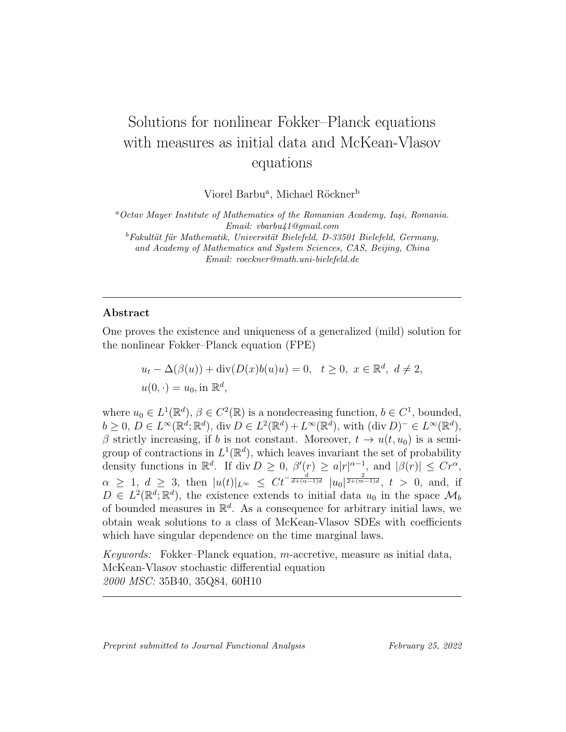# Solutions for nonlinear Fokker–Planck equations with measures as initial data and McKean-Vlasov equations

Viorel Barbu<sup>a</sup>, Michael Röckner<sup>b</sup>

 $a$ Octav Mayer Institute of Mathematics of the Romanian Academy, Iași, Romania. Email: vbarbu41@gmail.com

 ${}^{b}Fakultät$  für Mathematik, Universität Bielefeld, D-33501 Bielefeld, Germany, and Academy of Mathematics and System Sciences, CAS, Beijing, China Email: roeckner@math.uni-bielefeld.de

### Abstract

One proves the existence and uniqueness of a generalized (mild) solution for the nonlinear Fokker–Planck equation (FPE)

$$
u_t - \Delta(\beta(u)) + \operatorname{div}(D(x)b(u)u) = 0, \quad t \ge 0, \ x \in \mathbb{R}^d, \ d \ne 2,
$$
  

$$
u(0, \cdot) = u_0, \text{in } \mathbb{R}^d,
$$

where  $u_0 \in L^1(\mathbb{R}^d)$ ,  $\beta \in C^2(\mathbb{R})$  is a nondecreasing function,  $b \in C^1$ , bounded,  $b \geq 0, D \in L^{\infty}(\mathbb{R}^d; \mathbb{R}^d), \text{div } D \in L^2(\mathbb{R}^d) + L^{\infty}(\mathbb{R}^d), \text{ with } (\text{div } D)^- \in L^{\infty}(\mathbb{R}^d),$  $\beta$  strictly increasing, if b is not constant. Moreover,  $t \to u(t, u_0)$  is a semigroup of contractions in  $L^1(\mathbb{R}^d)$ , which leaves invariant the set of probability density functions in  $\mathbb{R}^d$ . If div  $D \geq 0$ ,  $\beta'(r) \geq a|r|^{\alpha-1}$ , and  $|\beta(r)| \leq Cr^{\alpha}$ ,  $\alpha \geq 1, d \geq 3$ , then  $|u(t)|_{L^{\infty}} \leq C t^{-\frac{d}{d + (\alpha - 1)d}} |u_0|^{\frac{2}{2 + (m-1)d}}, t > 0$ , and, if  $D \in L^2(\mathbb{R}^d; \mathbb{R}^d)$ , the existence extends to initial data  $u_0$  in the space  $\mathcal{M}_b$ of bounded measures in  $\mathbb{R}^d$ . As a consequence for arbitrary initial laws, we obtain weak solutions to a class of McKean-Vlasov SDEs with coefficients which have singular dependence on the time marginal laws.

Keywords: Fokker–Planck equation, m-accretive, measure as initial data, McKean-Vlasov stochastic differential equation 2000 MSC: 35B40, 35Q84, 60H10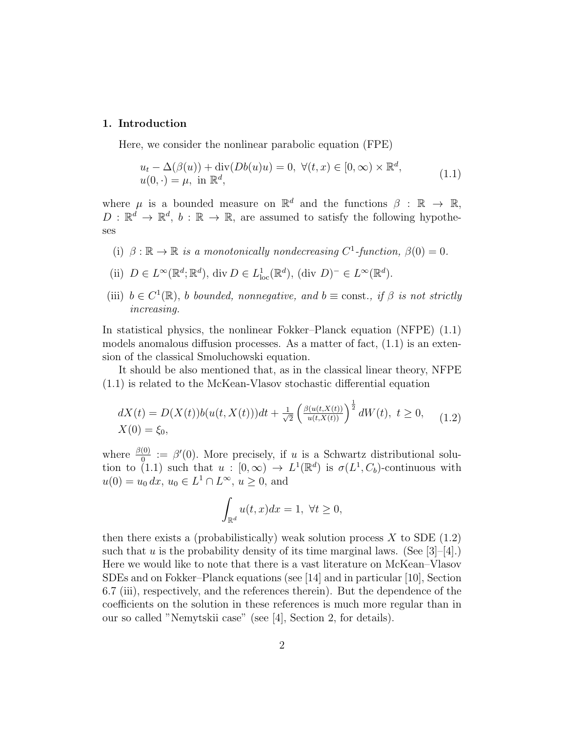#### 1. Introduction

Here, we consider the nonlinear parabolic equation (FPE)

$$
u_t - \Delta(\beta(u)) + \text{div}(Db(u)u) = 0, \ \forall (t, x) \in [0, \infty) \times \mathbb{R}^d,
$$
  
 
$$
u(0, \cdot) = \mu, \text{ in } \mathbb{R}^d,
$$
 (1.1)

where  $\mu$  is a bounded measure on  $\mathbb{R}^d$  and the functions  $\beta : \mathbb{R} \to \mathbb{R}$ ,  $D: \mathbb{R}^d \to \mathbb{R}^d$ ,  $b: \mathbb{R} \to \mathbb{R}$ , are assumed to satisfy the following hypotheses

- (i)  $\beta : \mathbb{R} \to \mathbb{R}$  is a monotonically nondecreasing  $C^1$ -function,  $\beta(0) = 0$ .
- (ii)  $D \in L^{\infty}(\mathbb{R}^d; \mathbb{R}^d)$ , div  $D \in L^1_{loc}(\mathbb{R}^d)$ , (div  $D)^- \in L^{\infty}(\mathbb{R}^d)$ .
- (iii)  $b \in C^1(\mathbb{R})$ , b bounded, nonnegative, and  $b \equiv \text{const.}$ , if  $\beta$  is not strictly increasing.

In statistical physics, the nonlinear Fokker–Planck equation (NFPE) (1.1) models anomalous diffusion processes. As a matter of fact,  $(1.1)$  is an extension of the classical Smoluchowski equation.

It should be also mentioned that, as in the classical linear theory, NFPE (1.1) is related to the McKean-Vlasov stochastic differential equation

$$
dX(t) = D(X(t))b(u(t, X(t)))dt + \frac{1}{\sqrt{2}} \left(\frac{\beta(u(t, X(t)))}{u(t, X(t))}\right)^{\frac{1}{2}} dW(t), \ t \ge 0, \tag{1.2}
$$
  
 
$$
X(0) = \xi_0,
$$

where  $\frac{\beta(0)}{0} := \beta'(0)$ . More precisely, if u is a Schwartz distributional solution to (1.1) such that  $u : [0, \infty) \to L^1(\mathbb{R}^d)$  is  $\sigma(L^1, C_b)$ -continuous with  $u(0) = u_0 dx, u_0 \in L^1 \cap L^{\infty}, u \ge 0$ , and

$$
\int_{\mathbb{R}^d} u(t, x) dx = 1, \ \forall t \ge 0,
$$

then there exists a (probabilistically) weak solution process  $X$  to SDE (1.2) such that u is the probability density of its time marginal laws. (See  $|3|-|4|$ .) Here we would like to note that there is a vast literature on McKean–Vlasov SDEs and on Fokker–Planck equations (see [14] and in particular [10], Section 6.7 (iii), respectively, and the references therein). But the dependence of the coefficients on the solution in these references is much more regular than in our so called "Nemytskii case" (see [4], Section 2, for details).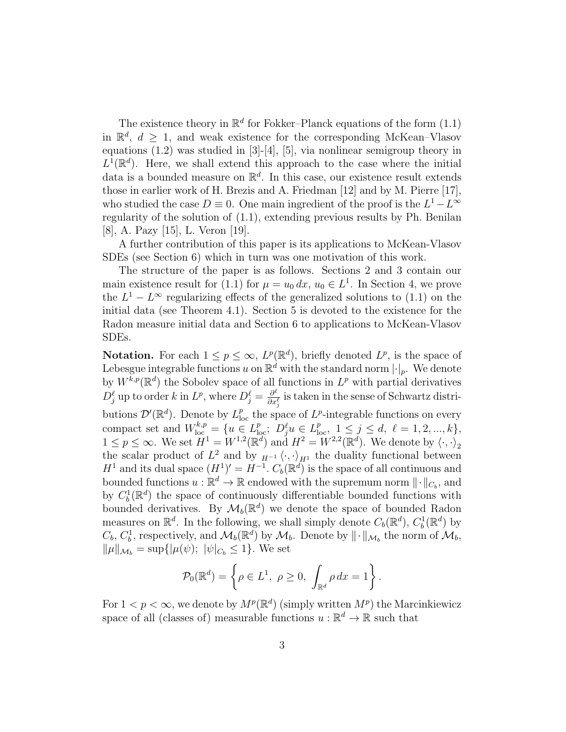The existence theory in  $\mathbb{R}^d$  for Fokker–Planck equations of the form  $(1.1)$ in  $\mathbb{R}^d$ ,  $d \geq 1$ , and weak existence for the corresponding McKean–Vlasov equations  $(1.2)$  was studied in  $[3]-[4]$ ,  $[5]$ , via nonlinear semigroup theory in  $L^1(\mathbb{R}^d)$ . Here, we shall extend this approach to the case where the initial data is a bounded measure on  $\mathbb{R}^d$ . In this case, our existence result extends those in earlier work of H. Brezis and A. Friedman [12] and by M. Pierre [17], who studied the case  $D \equiv 0$ . One main ingredient of the proof is the  $L^1 - L^{\infty}$ regularity of the solution of (1.1), extending previous results by Ph. Benilan [8], A. Pazy [15], L. Veron [19].

A further contribution of this paper is its applications to McKean-Vlasov SDEs (see Section 6) which in turn was one motivation of this work.

The structure of the paper is as follows. Sections 2 and 3 contain our main existence result for (1.1) for  $\mu = u_0 dx$ ,  $u_0 \in L<sup>1</sup>$ . In Section 4, we prove the  $L^1 - L^{\infty}$  regularizing effects of the generalized solutions to (1.1) on the initial data (see Theorem 4.1). Section 5 is devoted to the existence for the Radon measure initial data and Section 6 to applications to McKean-Vlasov SDEs.

**Notation.** For each  $1 \leq p \leq \infty$ ,  $L^p(\mathbb{R}^d)$ , briefly denoted  $L^p$ , is the space of Lebesgue integrable functions u on  $\mathbb{R}^d$  with the standard norm  $|\cdot|_p$ . We denote by  $W^{k,p}(\mathbb{R}^d)$  the Sobolev space of all functions in  $L^p$  with partial derivatives  $D_j^{\ell}$  up to order k in  $L^p$ , where  $D_j^{\ell} = \frac{\partial^{\ell}}{\partial x^{\ell}}$  $\frac{\partial^{\epsilon}}{\partial x_{j}^{\ell}}$  is taken in the sense of Schwartz distributions  $\mathcal{D}'(\mathbb{R}^d)$ . Denote by  $L^p_{loc}$  the space of  $L^p$ -integrable functions on every compact set and  $W_{\text{loc}}^{k,p} = \{u \in L_{\text{loc}}^p$ ;  $D_j^{\ell}u \in L_{\text{loc}}^p, 1 \le j \le d, \ell = 1, 2, ..., k\},\$  $1 \leq p \leq \infty$ . We set  $H^1 = W^{1,2}(\mathbb{R}^d)$  and  $H^2 = W^{2,2}(\mathbb{R}^d)$ . We denote by  $\langle \cdot, \cdot \rangle_2$ the scalar product of  $L^2$  and by  $_{H^{-1}} \langle \cdot, \cdot \rangle_{H^1}$  the duality functional between  $H^1$  and its dual space  $(H^1)' = H^{-1}$ .  $C_b(\mathbb{R}^d)$  is the space of all continuous and bounded functions  $u : \mathbb{R}^d \to \mathbb{R}$  endowed with the supremum norm  $\|\cdot\|_{C_b}$ , and by  $C_b^1(\mathbb{R}^d)$  the space of continuously differentiable bounded functions with bounded derivatives. By  $\mathcal{M}_b(\mathbb{R}^d)$  we denote the space of bounded Radon measures on  $\mathbb{R}^d$ . In the following, we shall simply denote  $C_b(\mathbb{R}^d)$ ,  $C_b^1(\mathbb{R}^d)$  by  $C_b, C_b^1$ , respectively, and  $\mathcal{M}_b(\mathbb{R}^d)$  by  $\mathcal{M}_b$ . Denote by  $\|\cdot\|_{\mathcal{M}_b}$  the norm of  $\mathcal{M}_b$ ,  $\|\mu\|_{\mathcal{M}_b} = \sup\{|\mu(\psi); \ |\psi|_{C_b} \leq 1\}.$  We set

$$
\mathcal{P}_0(\mathbb{R}^d) = \left\{ \rho \in L^1, \ \rho \ge 0, \ \int_{\mathbb{R}^d} \rho \, dx = 1 \right\}.
$$

For  $1 < p < \infty$ , we denote by  $M^p(\mathbb{R}^d)$  (simply written  $M^p$ ) the Marcinkiewicz space of all (classes of) measurable functions  $u : \mathbb{R}^d \to \mathbb{R}$  such that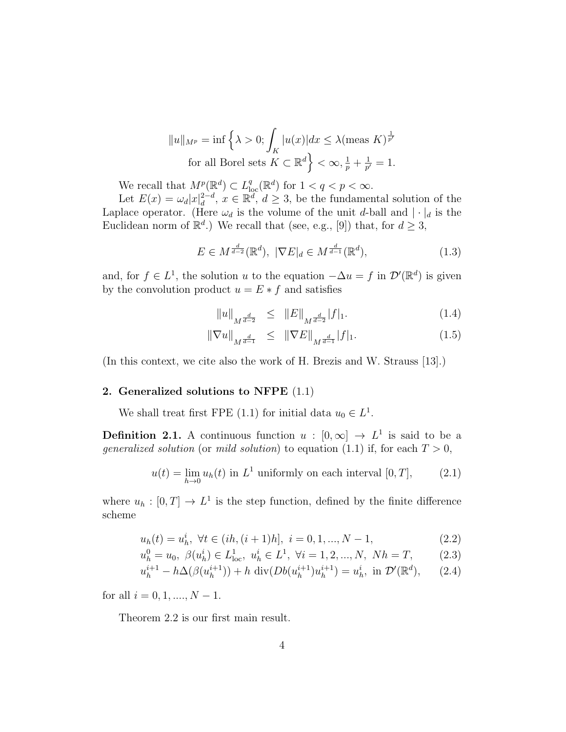$$
||u||_{M^{p}} = \inf \left\{ \lambda > 0; \int_{K} |u(x)| dx \le \lambda (\text{meas } K)^{\frac{1}{p'}}
$$
  
for all Borel sets  $K \subset \mathbb{R}^{d} \left\} < \infty, \frac{1}{p} + \frac{1}{p'} = 1.$ 

We recall that  $M^p(\mathbb{R}^d) \subset L^q_{loc}(\mathbb{R}^d)$  for  $1 < q < p < \infty$ .

Let  $E(x) = \omega_d |x|_d^{2-d}$  $\mathcal{L}_d^{2-d}$ ,  $x \in \mathbb{R}^d$ ,  $d \geq 3$ , be the fundamental solution of the Laplace operator. (Here  $\omega_d$  is the volume of the unit d-ball and  $|\cdot|_d$  is the Euclidean norm of  $\mathbb{R}^d$ .) We recall that (see, e.g., [9]) that, for  $d \geq 3$ ,

$$
E \in M^{\frac{d}{d-2}}(\mathbb{R}^d), \ |\nabla E|_d \in M^{\frac{d}{d-1}}(\mathbb{R}^d),\tag{1.3}
$$

and, for  $f \in L^1$ , the solution u to the equation  $-\Delta u = f$  in  $\mathcal{D}'(\mathbb{R}^d)$  is given by the convolution product  $u = E * f$  and satisfies

$$
||u||_{M^{\frac{d}{d-2}}} \leq ||E||_{M^{\frac{d}{d-2}}}|f|_1. \tag{1.4}
$$

$$
\|\nabla u\|_{M^{\frac{d}{d-1}}} \leq \|\nabla E\|_{M^{\frac{d}{d-1}}}|f|_1. \tag{1.5}
$$

(In this context, we cite also the work of H. Brezis and W. Strauss [13].)

# 2. Generalized solutions to NFPE (1.1)

We shall treat first FPE (1.1) for initial data  $u_0 \in L^1$ .

**Definition 2.1.** A continuous function  $u : [0, \infty] \to L^1$  is said to be a *generalized solution* (or *mild solution*) to equation (1.1) if, for each  $T > 0$ ,

$$
u(t) = \lim_{h \to 0} u_h(t) \text{ in } L^1 \text{ uniformly on each interval } [0, T], \qquad (2.1)
$$

where  $u_h : [0, T] \to L<sup>1</sup>$  is the step function, defined by the finite difference scheme

$$
u_h(t) = u_h^i, \ \forall t \in (ih, (i+1)h], \ i = 0, 1, ..., N-1,
$$
\n
$$
(2.2)
$$

$$
u_h^0 = u_0, \ \beta(u_h^i) \in L_{loc}^1, \ u_h^i \in L^1, \ \forall i = 1, 2, ..., N, \ Nh = T,
$$
 (2.3)

$$
u_h^{i+1} - h\Delta(\beta(u_h^{i+1})) + h \operatorname{div}(Db(u_h^{i+1})u_h^{i+1}) = u_h^i, \text{ in } \mathcal{D}'(\mathbb{R}^d), \qquad (2.4)
$$

for all  $i = 0, 1, ..., N - 1$ .

Theorem 2.2 is our first main result.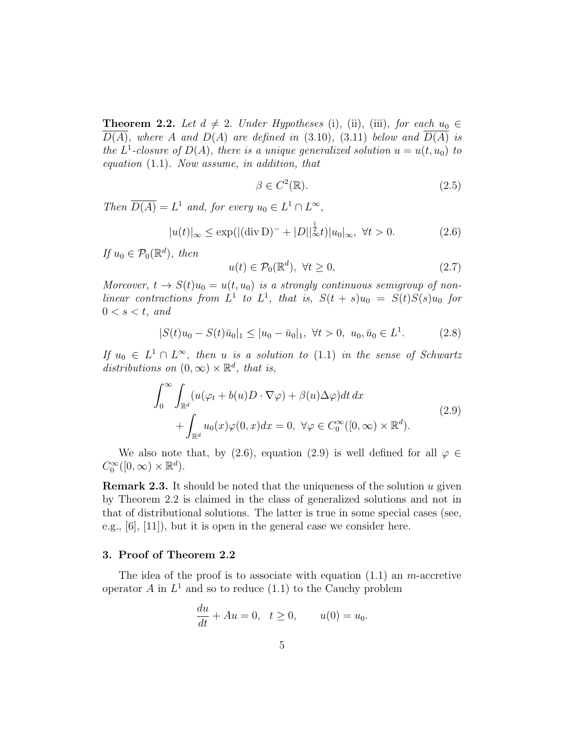**Theorem 2.2.** Let  $d \neq 2$ . Under Hypotheses (i), (ii), (iii), for each  $u_0 \in$  $D(A)$ , where A and  $D(A)$  are defined in (3.10), (3.11) below and  $D(A)$  is the  $L^1$ -closure of  $D(A)$ , there is a unique generalized solution  $u = u(t, u_0)$  to equation (1.1). Now assume, in addition, that

$$
\beta \in C^2(\mathbb{R}).\tag{2.5}
$$

Then  $\overline{D(A)} = L^1$  and, for every  $u_0 \in L^1 \cap L^{\infty}$ ,

$$
|u(t)|_{\infty} \le \exp(|(\text{div}\, \mathcal{D})^{-} + |D||_{\infty}^{\frac{1}{2}}t)|u_{0}|_{\infty}, \ \forall t > 0.
$$
 (2.6)

If  $u_0 \in \mathcal{P}_0(\mathbb{R}^d)$ , then

$$
u(t) \in \mathcal{P}_0(\mathbb{R}^d), \ \forall t \ge 0,
$$
\n
$$
(2.7)
$$

Moreover,  $t \to S(t)u_0 = u(t, u_0)$  is a strongly continuous semigroup of nonlinear contractions from  $L^1$  to  $L^1$ , that is,  $S(t + s)u_0 = S(t)S(s)u_0$  for  $0 < s < t$ , and

$$
|S(t)u_0 - S(t)\bar{u}_0|_1 \le |u_0 - \bar{u}_0|_1, \ \forall t > 0, \ u_0, \bar{u}_0 \in L^1.
$$
 (2.8)

If  $u_0 \in L^1 \cap L^{\infty}$ , then u is a solution to (1.1) in the sense of Schwartz distributions on  $(0, \infty) \times \mathbb{R}^d$ , that is,

$$
\int_0^\infty \int_{\mathbb{R}^d} (u(\varphi_t + b(u)D \cdot \nabla \varphi) + \beta(u)\Delta \varphi) dt dx
$$
  
+ 
$$
\int_{\mathbb{R}^d} u_0(x)\varphi(0, x) dx = 0, \ \forall \varphi \in C_0^\infty([0, \infty) \times \mathbb{R}^d).
$$
 (2.9)

We also note that, by (2.6), equation (2.9) is well defined for all  $\varphi \in$  $C_0^{\infty}([0,\infty)\times \mathbb{R}^d)$ .

**Remark 2.3.** It should be noted that the uniqueness of the solution  $u$  given by Theorem 2.2 is claimed in the class of generalized solutions and not in that of distributional solutions. The latter is true in some special cases (see, e.g., [6], [11]), but it is open in the general case we consider here.

# 3. Proof of Theorem 2.2

The idea of the proof is to associate with equation  $(1.1)$  an m-accretive operator A in  $L^1$  and so to reduce (1.1) to the Cauchy problem

$$
\frac{du}{dt} + Au = 0, \quad t \ge 0, \qquad u(0) = u_0.
$$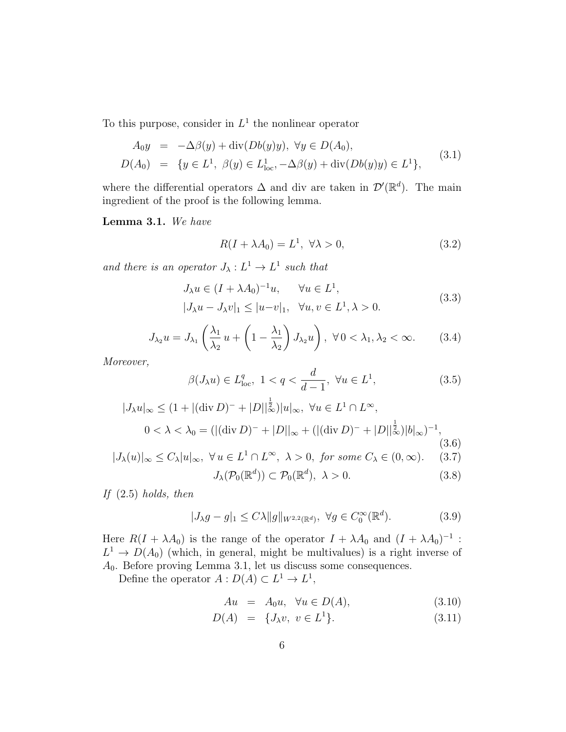To this purpose, consider in  $L^1$  the nonlinear operator

$$
A_0 y = -\Delta\beta(y) + \text{div}(Db(y)y), \ \forall y \in D(A_0), D(A_0) = \{y \in L^1, \ \beta(y) \in L^1_{loc}, -\Delta\beta(y) + \text{div}(Db(y)y) \in L^1\},
$$
(3.1)

where the differential operators  $\Delta$  and div are taken in  $\mathcal{D}'(\mathbb{R}^d)$ . The main ingredient of the proof is the following lemma.

Lemma 3.1. We have

$$
R(I + \lambda A_0) = L^1, \ \forall \lambda > 0,
$$
\n(3.2)

and there is an operator  $J_{\lambda}: L^{1} \to L^{1}$  such that

$$
J_{\lambda}u \in (I + \lambda A_0)^{-1}u, \quad \forall u \in L^1,
$$
  

$$
|J_{\lambda}u - J_{\lambda}v|_1 \le |u - v|_1, \quad \forall u, v \in L^1, \lambda > 0.
$$
 (3.3)

$$
J_{\lambda_2}u = J_{\lambda_1} \left(\frac{\lambda_1}{\lambda_2} u + \left(1 - \frac{\lambda_1}{\lambda_2}\right) J_{\lambda_2} u\right), \ \forall \, 0 < \lambda_1, \lambda_2 < \infty. \tag{3.4}
$$

Moreover,

$$
\beta(J_{\lambda}u) \in L_{\text{loc}}^q, \ 1 < q < \frac{d}{d-1}, \ \forall u \in L^1,\tag{3.5}
$$

$$
|J_{\lambda}u|_{\infty} \le (1 + |(\text{div } D)^{-} + |D||_{\infty}^{\frac{1}{2}})|u|_{\infty}, \ \forall u \in L^{1} \cap L^{\infty},
$$
  

$$
0 < \lambda < \lambda_{0} = (|(\text{div } D)^{-} + |D||_{\infty} + (|(\text{div } D)^{-} + |D||_{\infty}^{\frac{1}{2}})|b|_{\infty})^{-1},
$$
  

$$
|J_{\lambda}(u)|_{\infty} \le C_{\lambda}|u|_{\infty}, \ \forall u \in L^{1} \cap L^{\infty}, \ \lambda > 0, \ \text{for some } C_{\lambda} \in (0, \infty).
$$
 (3.7)

$$
J_{\lambda}(\mathcal{P}_0(\mathbb{R}^d)) \subset \mathcal{P}_0(\mathbb{R}^d), \ \lambda > 0. \tag{3.8}
$$

If  $(2.5)$  holds, then

$$
|J_{\lambda}g - g|_1 \le C\lambda \|g\|_{W^{2,2}(\mathbb{R}^d)}, \ \forall g \in C_0^{\infty}(\mathbb{R}^d). \tag{3.9}
$$

Here  $R(I + \lambda A_0)$  is the range of the operator  $I + \lambda A_0$  and  $(I + \lambda A_0)^{-1}$ :  $L^1 \to D(A_0)$  (which, in general, might be multivalues) is a right inverse of A0. Before proving Lemma 3.1, let us discuss some consequences.

Define the operator  $A: D(A) \subset L^1 \to L^1$ ,

$$
Au = A_0 u, \quad \forall u \in D(A), \tag{3.10}
$$

$$
D(A) = \{J_{\lambda}v, v \in L^{1}\}.
$$
\n(3.11)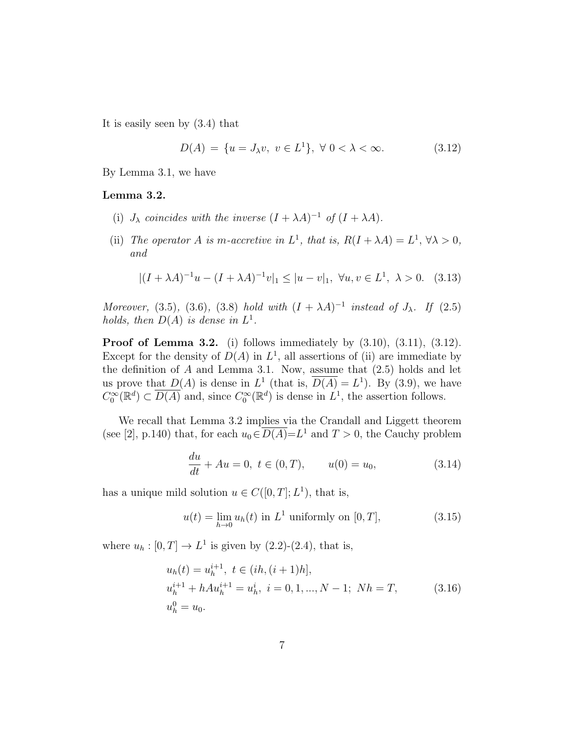It is easily seen by (3.4) that

$$
D(A) = \{ u = J_{\lambda}v, \ v \in L^{1} \}, \ \forall \ 0 < \lambda < \infty.
$$
 (3.12)

By Lemma 3.1, we have

### Lemma 3.2.

- (i)  $J_{\lambda}$  coincides with the inverse  $(I + \lambda A)^{-1}$  of  $(I + \lambda A)$ .
- (ii) The operator A is m-accretive in  $L^1$ , that is,  $R(I + \lambda A) = L^1$ ,  $\forall \lambda > 0$ , and

$$
|(I + \lambda A)^{-1}u - (I + \lambda A)^{-1}v|_1 \le |u - v|_1, \ \forall u, v \in L^1, \ \lambda > 0. \tag{3.13}
$$

Moreover, (3.5), (3.6), (3.8) hold with  $(I + \lambda A)^{-1}$  instead of  $J_{\lambda}$ . If (2.5) holds, then  $D(A)$  is dense in  $L^1$ .

**Proof of Lemma 3.2.** (i) follows immediately by  $(3.10)$ ,  $(3.11)$ ,  $(3.12)$ . Except for the density of  $D(A)$  in  $L^1$ , all assertions of (ii) are immediate by the definition of  $A$  and Lemma 3.1. Now, assume that  $(2.5)$  holds and let us prove that  $D(A)$  is dense in  $L^1$  (that is,  $\overline{D(A)} = L^1$ ). By (3.9), we have  $C_0^{\infty}(\mathbb{R}^d) \subset \overline{D(A)}$  and, since  $C_0^{\infty}(\mathbb{R}^d)$  is dense in  $L^1$ , the assertion follows.

We recall that Lemma 3.2 implies via the Crandall and Liggett theorem (see [2], p.140) that, for each  $u_0 \in \overline{D(A)} = L^1$  and  $T > 0$ , the Cauchy problem

$$
\frac{du}{dt} + Au = 0, \ t \in (0, T), \qquad u(0) = u_0,\tag{3.14}
$$

has a unique mild solution  $u \in C([0,T]; L^1)$ , that is,

$$
u(t) = \lim_{h \to 0} u_h(t) \text{ in } L^1 \text{ uniformly on } [0, T], \tag{3.15}
$$

where  $u_h : [0, T] \to L^1$  is given by  $(2.2)$ - $(2.4)$ , that is,

$$
u_h(t) = u_h^{i+1}, \ t \in (ih, (i+1)h],
$$
  
\n
$$
u_h^{i+1} + hAu_h^{i+1} = u_h^i, \ i = 0, 1, ..., N-1; \ Nh = T,
$$
  
\n
$$
u_h^0 = u_0.
$$
\n(3.16)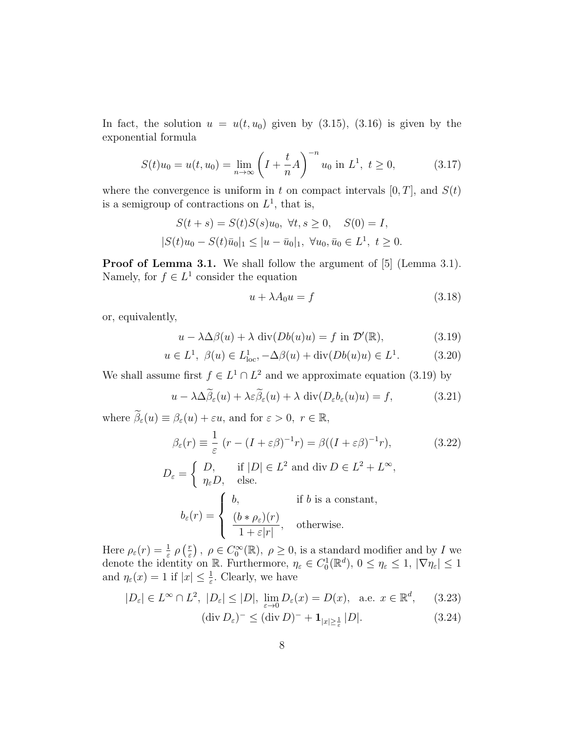In fact, the solution  $u = u(t, u_0)$  given by (3.15), (3.16) is given by the exponential formula

$$
S(t)u_0 = u(t, u_0) = \lim_{n \to \infty} \left( I + \frac{t}{n} A \right)^{-n} u_0 \text{ in } L^1, \ t \ge 0,
$$
 (3.17)

where the convergence is uniform in t on compact intervals  $[0, T]$ , and  $S(t)$ is a semigroup of contractions on  $L^1$ , that is,

$$
S(t+s) = S(t)S(s)u_0, \ \forall t, s \ge 0, \quad S(0) = I,
$$
  

$$
|S(t)u_0 - S(t)\bar{u}_0|_1 \le |u - \bar{u}_0|_1, \ \forall u_0, \bar{u}_0 \in L^1, \ t \ge 0.
$$

Proof of Lemma 3.1. We shall follow the argument of [5] (Lemma 3.1). Namely, for  $f \in L^1$  consider the equation

$$
u + \lambda A_0 u = f \tag{3.18}
$$

or, equivalently,

$$
u - \lambda \Delta \beta(u) + \lambda \operatorname{div}(Db(u)u) = f \text{ in } \mathcal{D}'(\mathbb{R}), \tag{3.19}
$$

$$
u \in L^1
$$
,  $\beta(u) \in L^1_{loc}$ ,  $-\Delta\beta(u) + \text{div}(Db(u)u) \in L^1$ . (3.20)

We shall assume first  $f \in L^1 \cap L^2$  and we approximate equation (3.19) by

$$
u - \lambda \Delta \widetilde{\beta}_{\varepsilon}(u) + \lambda \varepsilon \widetilde{\beta}_{\varepsilon}(u) + \lambda \operatorname{div}(D_{\varepsilon} b_{\varepsilon}(u)u) = f,
$$
 (3.21)

where  $\widetilde{\beta}_{\varepsilon}(u) \equiv \beta_{\varepsilon}(u) + \varepsilon u$ , and for  $\varepsilon > 0$ ,  $r \in \mathbb{R}$ ,

$$
\beta_{\varepsilon}(r) \equiv \frac{1}{\varepsilon} (r - (I + \varepsilon \beta)^{-1} r) = \beta((I + \varepsilon \beta)^{-1} r), \tag{3.22}
$$
  
\n
$$
D_{\varepsilon} = \begin{cases} D, & \text{if } |D| \in L^{2} \text{ and } \text{div } D \in L^{2} + L^{\infty}, \\ \eta_{\varepsilon} D, & \text{else.} \end{cases}
$$
  
\n
$$
b_{\varepsilon}(r) = \begin{cases} b, & \text{if } b \text{ is a constant}, \\ \frac{(b * \rho_{\varepsilon})(r)}{1 + \varepsilon |r|}, & \text{otherwise.} \end{cases}
$$

Here  $\rho_{\varepsilon}(r) = \frac{1}{\varepsilon} \rho \left( \frac{r}{\varepsilon} \right)$  $(\frac{r}{\varepsilon})$ ,  $\rho \in C_0^{\infty}(\mathbb{R})$ ,  $\rho \geq 0$ , is a standard modifier and by I we denote the identity on R. Furthermore,  $\eta_{\varepsilon} \in C_0^1(\mathbb{R}^d)$ ,  $0 \leq \eta_{\varepsilon} \leq 1$ ,  $|\nabla \eta_{\varepsilon}| \leq 1$ and  $\eta_{\varepsilon}(x) = 1$  if  $|x| \leq \frac{1}{\varepsilon}$ . Clearly, we have

$$
|D_{\varepsilon}| \in L^{\infty} \cap L^{2}, \ |D_{\varepsilon}| \le |D|, \ \lim_{\varepsilon \to 0} D_{\varepsilon}(x) = D(x), \ \text{a.e. } x \in \mathbb{R}^{d}, \qquad (3.23)
$$

$$
(\operatorname{div} D_{\varepsilon})^{-} \leq (\operatorname{div} D)^{-} + \mathbf{1}_{|x| \geq \frac{1}{\varepsilon}} |D|. \tag{3.24}
$$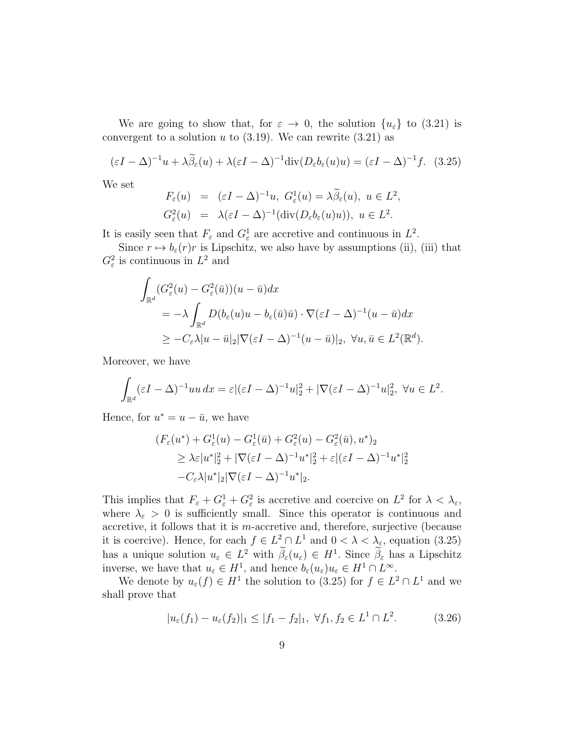We are going to show that, for  $\varepsilon \to 0$ , the solution  $\{u_{\varepsilon}\}\;$  to  $(3.21)$  is convergent to a solution u to  $(3.19)$ . We can rewrite  $(3.21)$  as

$$
(\varepsilon I - \Delta)^{-1} u + \lambda \widetilde{\beta}_{\varepsilon}(u) + \lambda (\varepsilon I - \Delta)^{-1} \text{div} (D_{\varepsilon} b_{\varepsilon}(u)u) = (\varepsilon I - \Delta)^{-1} f. \tag{3.25}
$$

We set

$$
F_{\varepsilon}(u) = (\varepsilon I - \Delta)^{-1} u, \ G_{\varepsilon}^{1}(u) = \lambda \tilde{\beta}_{\varepsilon}(u), \ u \in L^{2},
$$
  

$$
G_{\varepsilon}^{2}(u) = \lambda (\varepsilon I - \Delta)^{-1} (\text{div}(D_{\varepsilon}b_{\varepsilon}(u)u)), \ u \in L^{2}.
$$

It is easily seen that  $F_{\varepsilon}$  and  $G_{\varepsilon}^1$  are accretive and continuous in  $L^2$ .

Since  $r \mapsto b_{\varepsilon}(r)r$  is Lipschitz, we also have by assumptions (ii), (iii) that  $G_{\varepsilon}^2$  is continuous in  $L^2$  and

$$
\int_{\mathbb{R}^d} (G_{\varepsilon}^2(u) - G_{\varepsilon}^2(\bar{u}))(u - \bar{u})dx
$$
\n
$$
= -\lambda \int_{\mathbb{R}^d} D(b_{\varepsilon}(u)u - b_{\varepsilon}(\bar{u})\bar{u}) \cdot \nabla (\varepsilon I - \Delta)^{-1}(u - \bar{u})dx
$$
\n
$$
\geq -C_{\varepsilon} \lambda |u - \bar{u}|_2 |\nabla (\varepsilon I - \Delta)^{-1}(u - \bar{u})|_2, \ \forall u, \bar{u} \in L^2(\mathbb{R}^d).
$$

Moreover, we have

$$
\int_{\mathbb{R}^d} (\varepsilon I - \Delta)^{-1} u u \, dx = \varepsilon |(\varepsilon I - \Delta)^{-1} u|_2^2 + |\nabla (\varepsilon I - \Delta)^{-1} u|_2^2, \ \forall u \in L^2.
$$

Hence, for  $u^* = u - \bar{u}$ , we have

$$
(F_{\varepsilon}(u^*) + G_{\varepsilon}^1(u) - G_{\varepsilon}^1(\bar{u}) + G_{\varepsilon}^2(u) - G_{\varepsilon}^2(\bar{u}), u^*)_2
$$
  
\n
$$
\geq \lambda \varepsilon |u^*|_2^2 + |\nabla(\varepsilon I - \Delta)^{-1}u^*|_2^2 + \varepsilon |(\varepsilon I - \Delta)^{-1}u^*|_2^2
$$
  
\n
$$
-C_{\varepsilon} \lambda |u^*|_2 |\nabla(\varepsilon I - \Delta)^{-1}u^*|_2.
$$

This implies that  $F_{\varepsilon} + G_{\varepsilon}^1 + G_{\varepsilon}^2$  is accretive and coercive on  $L^2$  for  $\lambda < \lambda_{\varepsilon}$ , where  $\lambda_{\varepsilon} > 0$  is sufficiently small. Since this operator is continuous and accretive, it follows that it is m-accretive and, therefore, surjective (because it is coercive). Hence, for each  $f \in L^2 \cap L^1$  and  $0 < \lambda < \lambda_{\varepsilon}$ , equation (3.25) has a unique solution  $u_{\varepsilon} \in L^2$  with  $\beta_{\varepsilon}(u_{\varepsilon}) \in H^1$ . Since  $\beta_{\varepsilon}$  has a Lipschitz inverse, we have that  $u_{\varepsilon} \in H^1$ , and hence  $b_{\varepsilon}(u_{\varepsilon})u_{\varepsilon} \in H^1 \cap L^{\infty}$ .

We denote by  $u_{\varepsilon}(f) \in H^1$  the solution to (3.25) for  $f \in L^2 \cap L^1$  and we shall prove that

$$
|u_{\varepsilon}(f_1) - u_{\varepsilon}(f_2)|_1 \le |f_1 - f_2|_1, \ \forall f_1, f_2 \in L^1 \cap L^2.
$$
 (3.26)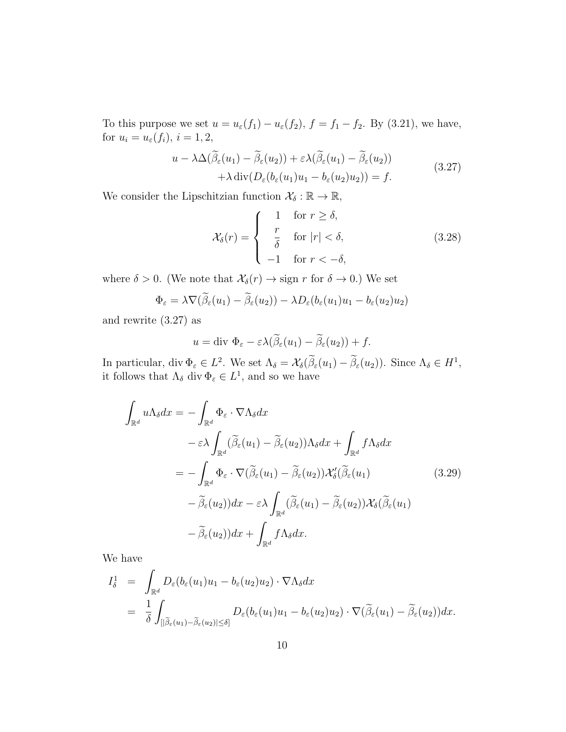To this purpose we set  $u = u_{\varepsilon}(f_1) - u_{\varepsilon}(f_2)$ ,  $f = f_1 - f_2$ . By (3.21), we have, for  $u_i = u_{\varepsilon}(f_i)$ ,  $i = 1, 2$ ,

$$
u - \lambda \Delta(\widetilde{\beta}_{\varepsilon}(u_1) - \widetilde{\beta}_{\varepsilon}(u_2)) + \varepsilon \lambda(\widetilde{\beta}_{\varepsilon}(u_1) - \widetilde{\beta}_{\varepsilon}(u_2)) + \lambda \operatorname{div}(D_{\varepsilon}(b_{\varepsilon}(u_1)u_1 - b_{\varepsilon}(u_2)u_2)) = f.
$$
\n(3.27)

We consider the Lipschitzian function  $\mathcal{X}_\delta: \mathbb{R} \to \mathbb{R},$ 

$$
\mathcal{X}_{\delta}(r) = \begin{cases}\n1 & \text{for } r \ge \delta, \\
\frac{r}{\delta} & \text{for } |r| < \delta, \\
-1 & \text{for } r < -\delta,\n\end{cases}
$$
\n(3.28)

where  $\delta > 0$ . (We note that  $\mathcal{X}_{\delta}(r) \to \text{sign } r$  for  $\delta \to 0$ .) We set

$$
\Phi_{\varepsilon} = \lambda \nabla (\widetilde{\beta}_{\varepsilon}(u_1) - \widetilde{\beta}_{\varepsilon}(u_2)) - \lambda D_{\varepsilon}(b_{\varepsilon}(u_1)u_1 - b_{\varepsilon}(u_2)u_2)
$$

and rewrite (3.27) as

$$
u = \text{div } \Phi_{\varepsilon} - \varepsilon \lambda (\widetilde{\beta}_{\varepsilon}(u_1) - \widetilde{\beta}_{\varepsilon}(u_2)) + f.
$$

In particular, div  $\Phi_{\varepsilon} \in L^2$ . We set  $\Lambda_{\delta} = \mathcal{X}_{\delta}(\hat{\beta}_{\varepsilon}(u_1) - \hat{\beta}_{\varepsilon}(u_2))$ . Since  $\Lambda_{\delta} \in H^1$ , it follows that  $\Lambda_{\delta}$  div  $\Phi_{\varepsilon} \in L^{1}$ , and so we have

$$
\int_{\mathbb{R}^d} u \Lambda_{\delta} dx = - \int_{\mathbb{R}^d} \Phi_{\varepsilon} \cdot \nabla \Lambda_{\delta} dx \n- \varepsilon \lambda \int_{\mathbb{R}^d} (\widetilde{\beta}_{\varepsilon}(u_1) - \widetilde{\beta}_{\varepsilon}(u_2)) \Lambda_{\delta} dx + \int_{\mathbb{R}^d} f \Lambda_{\delta} dx \n= - \int_{\mathbb{R}^d} \Phi_{\varepsilon} \cdot \nabla (\widetilde{\beta}_{\varepsilon}(u_1) - \widetilde{\beta}_{\varepsilon}(u_2)) \mathcal{X}'_{\delta}(\widetilde{\beta}_{\varepsilon}(u_1) \n- \widetilde{\beta}_{\varepsilon}(u_2)) dx - \varepsilon \lambda \int_{\mathbb{R}^d} (\widetilde{\beta}_{\varepsilon}(u_1) - \widetilde{\beta}_{\varepsilon}(u_2)) \mathcal{X}_{\delta}(\widetilde{\beta}_{\varepsilon}(u_1) \n- \widetilde{\beta}_{\varepsilon}(u_2)) dx + \int_{\mathbb{R}^d} f \Lambda_{\delta} dx.
$$
\n(3.29)

We have

$$
I_{\delta}^{1} = \int_{\mathbb{R}^{d}} D_{\varepsilon}(b_{\varepsilon}(u_{1})u_{1} - b_{\varepsilon}(u_{2})u_{2}) \cdot \nabla \Lambda_{\delta} dx
$$
  
= 
$$
\frac{1}{\delta} \int_{[|\tilde{\beta}_{\varepsilon}(u_{1}) - \tilde{\beta}_{\varepsilon}(u_{2})| \leq \delta]} D_{\varepsilon}(b_{\varepsilon}(u_{1})u_{1} - b_{\varepsilon}(u_{2})u_{2}) \cdot \nabla (\tilde{\beta}_{\varepsilon}(u_{1}) - \tilde{\beta}_{\varepsilon}(u_{2})) dx.
$$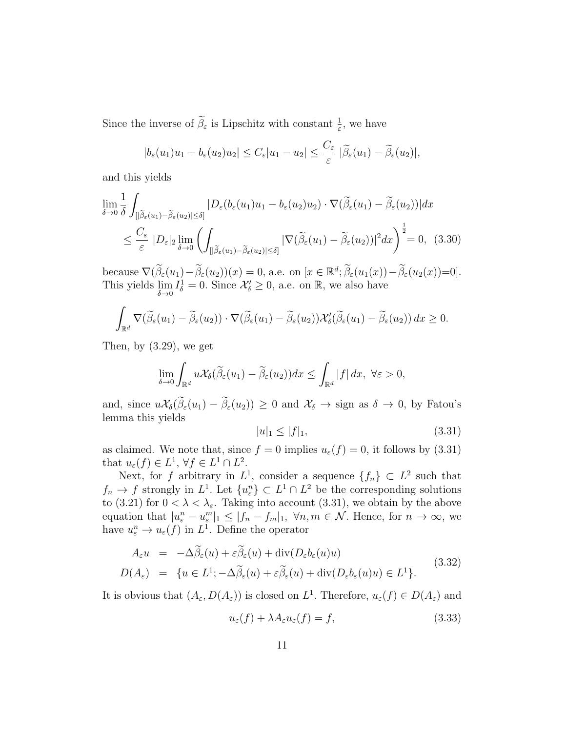Since the inverse of  $\tilde{\beta}_{\varepsilon}$  is Lipschitz with constant  $\frac{1}{\varepsilon}$ , we have

$$
|b_{\varepsilon}(u_1)u_1 - b_{\varepsilon}(u_2)u_2| \leq C_{\varepsilon}|u_1 - u_2| \leq \frac{C_{\varepsilon}}{\varepsilon} |\widetilde{\beta}_{\varepsilon}(u_1) - \widetilde{\beta}_{\varepsilon}(u_2)|,
$$

and this yields

$$
\lim_{\delta \to 0} \frac{1}{\delta} \int_{[|\tilde{\beta}_{\varepsilon}(u_1) - \tilde{\beta}_{\varepsilon}(u_2)| \le \delta]} |D_{\varepsilon}(b_{\varepsilon}(u_1)u_1 - b_{\varepsilon}(u_2)u_2) \cdot \nabla(\tilde{\beta}_{\varepsilon}(u_1) - \tilde{\beta}_{\varepsilon}(u_2))| dx
$$
\n
$$
\leq \frac{C_{\varepsilon}}{\varepsilon} |D_{\varepsilon}|_2 \lim_{\delta \to 0} \left( \int_{[|\tilde{\beta}_{\varepsilon}(u_1) - \tilde{\beta}_{\varepsilon}(u_2)| \le \delta]} |\nabla(\tilde{\beta}_{\varepsilon}(u_1) - \tilde{\beta}_{\varepsilon}(u_2))|^2 dx \right)^{\frac{1}{2}} = 0, (3.30)
$$

because  $\nabla(\widetilde{\beta}_{\varepsilon}(u_1) - \widetilde{\beta}_{\varepsilon}(u_2))(x) = 0$ , a.e. on  $[x \in \mathbb{R}^d; \widetilde{\beta}_{\varepsilon}(u_1(x)) - \widetilde{\beta}_{\varepsilon}(u_2(x)) = 0].$ This yields  $\lim_{\delta \to 0} I_{\delta}^1 = 0$ . Since  $\mathcal{X}'_{\delta} \geq 0$ , a.e. on  $\mathbb{R}$ , we also have

$$
\int_{\mathbb{R}^d} \nabla(\widetilde{\beta}_{\varepsilon}(u_1) - \widetilde{\beta}_{\varepsilon}(u_2)) \cdot \nabla(\widetilde{\beta}_{\varepsilon}(u_1) - \widetilde{\beta}_{\varepsilon}(u_2)) \mathcal{X}_{\delta}'(\widetilde{\beta}_{\varepsilon}(u_1) - \widetilde{\beta}_{\varepsilon}(u_2)) dx \ge 0.
$$

Then, by (3.29), we get

$$
\lim_{\delta \to 0} \int_{\mathbb{R}^d} u \mathcal{X}_{\delta}(\widetilde{\beta}_{\varepsilon}(u_1) - \widetilde{\beta}_{\varepsilon}(u_2))dx \leq \int_{\mathbb{R}^d} |f| dx, \ \forall \varepsilon > 0,
$$

and, since  $u\mathcal{X}_{\delta}(\tilde{\beta}_{\varepsilon}(u_1)-\tilde{\beta}_{\varepsilon}(u_2))\geq 0$  and  $\mathcal{X}_{\delta}\to \text{sign}$  as  $\delta\to 0$ , by Fatou's lemma this yields

$$
|u|_1 \le |f|_1,\tag{3.31}
$$

as claimed. We note that, since  $f = 0$  implies  $u_{\varepsilon}(f) = 0$ , it follows by (3.31) that  $u_{\varepsilon}(f) \in L^1$ ,  $\forall f \in L^1 \cap L^2$ .

Next, for f arbitrary in  $L^1$ , consider a sequence  $\{f_n\} \subset L^2$  such that  $f_n \to f$  strongly in  $L^1$ . Let  $\{u_{\varepsilon}^n\} \subset L^1 \cap L^2$  be the corresponding solutions to (3.21) for  $0 < \lambda < \lambda_{\varepsilon}$ . Taking into account (3.31), we obtain by the above equation that  $|u_{\varepsilon}^n - u_{\varepsilon}^m|_1 \leq |f_n - f_m|_1$ ,  $\forall n, m \in \mathcal{N}$ . Hence, for  $n \to \infty$ , we have  $u_{\varepsilon}^n \to u_{\varepsilon}(f)$  in  $L^1$ . Define the operator

$$
A_{\varepsilon}u = -\Delta\beta_{\varepsilon}(u) + \varepsilon\beta_{\varepsilon}(u) + \text{div}(D_{\varepsilon}b_{\varepsilon}(u)u)
$$
  
\n
$$
D(A_{\varepsilon}) = \{u \in L^{1}; -\Delta\widetilde{\beta}_{\varepsilon}(u) + \varepsilon\widetilde{\beta}_{\varepsilon}(u) + \text{div}(D_{\varepsilon}b_{\varepsilon}(u)u) \in L^{1}\}.
$$
\n(3.32)

It is obvious that  $(A_\varepsilon, D(A_\varepsilon))$  is closed on  $L^1$ . Therefore,  $u_\varepsilon(f) \in D(A_\varepsilon)$  and

$$
u_{\varepsilon}(f) + \lambda A_{\varepsilon} u_{\varepsilon}(f) = f,\tag{3.33}
$$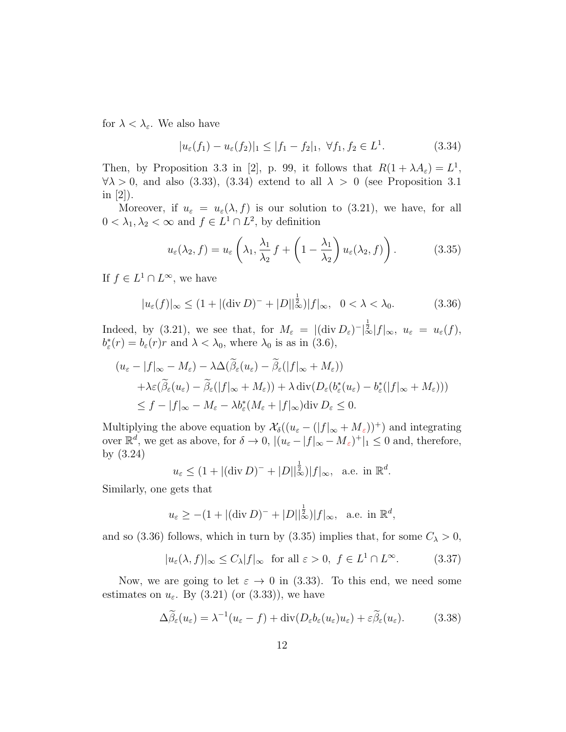for  $\lambda < \lambda_{\varepsilon}$ . We also have

$$
|u_{\varepsilon}(f_1) - u_{\varepsilon}(f_2)|_1 \le |f_1 - f_2|_1, \ \forall f_1, f_2 \in L^1.
$$
 (3.34)

Then, by Proposition 3.3 in [2], p. 99, it follows that  $R(1 + \lambda A_{\varepsilon}) = L^1$ ,  $\forall \lambda > 0$ , and also (3.33), (3.34) extend to all  $\lambda > 0$  (see Proposition 3.1) in  $|2|$ ).

Moreover, if  $u_{\varepsilon} = u_{\varepsilon}(\lambda, f)$  is our solution to (3.21), we have, for all  $0 < \lambda_1, \lambda_2 < \infty$  and  $f \in L^1 \cap L^2$ , by definition

$$
u_{\varepsilon}(\lambda_2, f) = u_{\varepsilon} \left( \lambda_1, \frac{\lambda_1}{\lambda_2} f + \left( 1 - \frac{\lambda_1}{\lambda_2} \right) u_{\varepsilon}(\lambda_2, f) \right).
$$
 (3.35)

If  $f \in L^1 \cap L^{\infty}$ , we have

$$
|u_{\varepsilon}(f)|_{\infty} \le (1 + |(\text{div}\,D)^{-} + |D||_{\infty}^{\frac{1}{2}})|f|_{\infty}, \ \ 0 < \lambda < \lambda_{0}.\tag{3.36}
$$

Indeed, by (3.21), we see that, for  $M_{\varepsilon} = |(\text{div } D_{\varepsilon})^{-}|\mathbf{L}| \times |f|_{\infty}, u_{\varepsilon} = u_{\varepsilon}(f),$  $b_{\varepsilon}^*(r) = b_{\varepsilon}(r)r$  and  $\lambda < \lambda_0$ , where  $\lambda_0$  is as in (3.6),

$$
(u_{\varepsilon} - |f|_{\infty} - M_{\varepsilon}) - \lambda \Delta(\widetilde{\beta}_{\varepsilon}(u_{\varepsilon}) - \widetilde{\beta}_{\varepsilon}(|f|_{\infty} + M_{\varepsilon}))
$$
  
 
$$
+ \lambda \varepsilon(\widetilde{\beta}_{\varepsilon}(u_{\varepsilon}) - \widetilde{\beta}_{\varepsilon}(|f|_{\infty} + M_{\varepsilon})) + \lambda \operatorname{div}(D_{\varepsilon}(b_{\varepsilon}^{*}(u_{\varepsilon}) - b_{\varepsilon}^{*}(|f|_{\infty} + M_{\varepsilon})))
$$
  

$$
\leq f - |f|_{\infty} - M_{\varepsilon} - \lambda b_{\varepsilon}^{*}(M_{\varepsilon} + |f|_{\infty}) \operatorname{div} D_{\varepsilon} \leq 0.
$$

Multiplying the above equation by  $\mathcal{X}_{\delta}((u_{\varepsilon} - (|f|_{\infty} + M_{\varepsilon}))^{+})$  and integrating over  $\mathbb{R}^d$ , we get as above, for  $\delta \to 0$ ,  $|(u_{\varepsilon} - |f|_{\infty} - M_{\varepsilon})^+|_1 \leq 0$  and, therefore, by (3.24)

$$
u_{\varepsilon} \leq (1+|(\text{div } D)^{-}+|D||_{\infty}^{\frac{1}{2}})|f|_{\infty}, \text{ a.e. in } \mathbb{R}^{d}.
$$

Similarly, one gets that

$$
u_{\varepsilon} \ge -(1 + |(\text{div } D)^{-} + |D||_{\infty}^{\frac{1}{2}})|f|_{\infty}, \text{ a.e. in } \mathbb{R}^{d},
$$

and so (3.36) follows, which in turn by (3.35) implies that, for some  $C_{\lambda} > 0$ ,

$$
|u_{\varepsilon}(\lambda, f)|_{\infty} \le C_{\lambda}|f|_{\infty} \text{ for all } \varepsilon > 0, f \in L^{1} \cap L^{\infty}.
$$
 (3.37)

Now, we are going to let  $\varepsilon \to 0$  in (3.33). To this end, we need some estimates on  $u_{\varepsilon}$ . By (3.21) (or (3.33)), we have

$$
\Delta \widetilde{\beta}_{\varepsilon}(u_{\varepsilon}) = \lambda^{-1}(u_{\varepsilon} - f) + \text{div}(D_{\varepsilon}b_{\varepsilon}(u_{\varepsilon})u_{\varepsilon}) + \varepsilon \widetilde{\beta}_{\varepsilon}(u_{\varepsilon}). \tag{3.38}
$$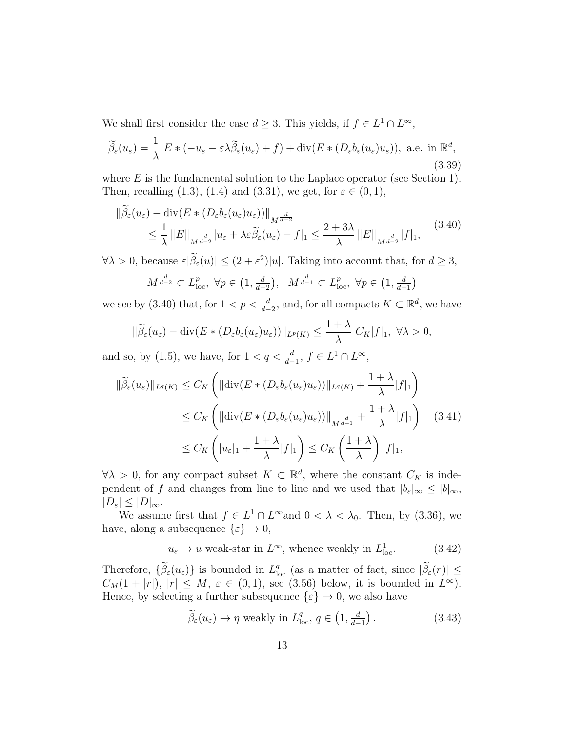We shall first consider the case  $d \geq 3$ . This yields, if  $f \in L^1 \cap L^{\infty}$ ,

$$
\widetilde{\beta}_{\varepsilon}(u_{\varepsilon}) = \frac{1}{\lambda} E * (-u_{\varepsilon} - \varepsilon \lambda \widetilde{\beta}_{\varepsilon}(u_{\varepsilon}) + f) + \text{div}(E * (D_{\varepsilon} b_{\varepsilon}(u_{\varepsilon})u_{\varepsilon})), \text{ a.e. in } \mathbb{R}^{d},
$$
\n(3.39)

where  $E$  is the fundamental solution to the Laplace operator (see Section 1). Then, recalling (1.3), (1.4) and (3.31), we get, for  $\varepsilon \in (0,1)$ ,

$$
\|\tilde{\beta}_{\varepsilon}(u_{\varepsilon}) - \operatorname{div}(E * (D_{\varepsilon}b_{\varepsilon}(u_{\varepsilon}))\|_{M^{\frac{d}{d-2}}}
$$
\n
$$
\leq \frac{1}{\lambda} \|E\|_{M^{\frac{d}{d-2}}}|u_{\varepsilon} + \lambda \varepsilon \tilde{\beta}_{\varepsilon}(u_{\varepsilon}) - f|_{1} \leq \frac{2+3\lambda}{\lambda} \|E\|_{M^{\frac{d}{d-2}}}|f|_{1},
$$
\n(3.40)

 $\forall \lambda > 0$ , because  $\varepsilon |\beta_{\varepsilon}(u)| \leq (2 + \varepsilon^2)|u|$ . Taking into account that, for  $d \geq 3$ ,

$$
M^{\frac{d}{d-2}} \subset L^p_{\text{loc}}, \ \forall p \in \left(1, \frac{d}{d-2}\right), \ \ M^{\frac{d}{d-1}} \subset L^p_{\text{loc}}, \ \forall p \in \left(1, \frac{d}{d-1}\right)
$$

we see by (3.40) that, for  $1 < p < \frac{d}{d-2}$ , and, for all compacts  $K \subset \mathbb{R}^d$ , we have

$$
\|\widetilde{\beta}_{\varepsilon}(u_{\varepsilon})-\operatorname{div}(E*(D_{\varepsilon}b_{\varepsilon}(u_{\varepsilon})u_{\varepsilon}))\|_{L^{p}(K)}\leq \frac{1+\lambda}{\lambda}C_{K}|f|_{1}, \ \forall \lambda>0,
$$

and so, by (1.5), we have, for  $1 < q < \frac{d}{d-1}$ ,  $f \in L^1 \cap L^{\infty}$ ,

$$
\|\widetilde{\beta}_{\varepsilon}(u_{\varepsilon})\|_{L^{q}(K)} \leq C_{K} \left( \|\text{div}(E \ast (D_{\varepsilon}b_{\varepsilon}(u_{\varepsilon})u_{\varepsilon}))\|_{L^{q}(K)} + \frac{1+\lambda}{\lambda}|f|_{1} \right)
$$
  
\n
$$
\leq C_{K} \left( \|\text{div}(E \ast (D_{\varepsilon}b_{\varepsilon}(u_{\varepsilon})u_{\varepsilon}))\|_{M^{\frac{d}{d-1}}} + \frac{1+\lambda}{\lambda}|f|_{1} \right) \quad (3.41)
$$
  
\n
$$
\leq C_{K} \left( |u_{\varepsilon}|_{1} + \frac{1+\lambda}{\lambda}|f|_{1} \right) \leq C_{K} \left( \frac{1+\lambda}{\lambda} \right)|f|_{1},
$$

 $\forall \lambda > 0$ , for any compact subset  $K \subset \mathbb{R}^d$ , where the constant  $C_K$  is independent of f and changes from line to line and we used that  $|b_{\varepsilon}|_{\infty} \leq |b|_{\infty}$ ,  $|D_{\varepsilon}| \leq |D|_{\infty}.$ 

We assume first that  $f \in L^1 \cap L^{\infty}$  and  $0 < \lambda < \lambda_0$ . Then, by (3.36), we have, along a subsequence  $\{\varepsilon\} \to 0$ ,

$$
u_{\varepsilon} \to u
$$
 weak-star in  $L^{\infty}$ , whence weakly in  $L_{loc}^{1}$ . (3.42)

Therefore,  $\{\widetilde{\beta}_{\varepsilon}(u_{\varepsilon})\}$  is bounded in  $L_{\text{loc}}^q$  (as a matter of fact, since  $|\widetilde{\beta}_{\varepsilon}(r)| \leq$  $C_M(1+|r|), |r| \leq M, \varepsilon \in (0,1)$ , see (3.56) below, it is bounded in  $L^{\infty}$ ). Hence, by selecting a further subsequence  $\{\varepsilon\} \to 0$ , we also have

$$
\widetilde{\beta}_{\varepsilon}(u_{\varepsilon}) \to \eta
$$
 weakly in  $L_{\text{loc}}^q$ ,  $q \in (1, \frac{d}{d-1})$ . (3.43)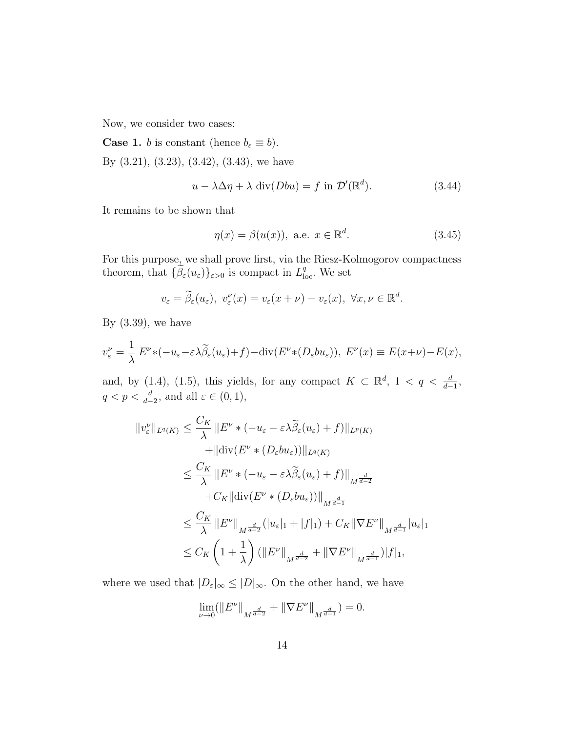Now, we consider two cases:

**Case 1.** *b* is constant (hence  $b_{\varepsilon} \equiv b$ ).

By  $(3.21), (3.23), (3.42), (3.43),$  we have

$$
u - \lambda \Delta \eta + \lambda \operatorname{div}(Dbu) = f \text{ in } \mathcal{D}'(\mathbb{R}^d). \tag{3.44}
$$

It remains to be shown that

$$
\eta(x) = \beta(u(x)), \text{ a.e. } x \in \mathbb{R}^d. \tag{3.45}
$$

For this purpose, we shall prove first, via the Riesz-Kolmogorov compactness theorem, that  $\{\widetilde{\beta}_{\varepsilon}(u_{\varepsilon})\}_{{\varepsilon}>0}$  is compact in  $L^q_{\text{loc}}$ . We set

$$
v_{\varepsilon} = \widetilde{\beta}_{\varepsilon}(u_{\varepsilon}), \ v_{\varepsilon}^{\nu}(x) = v_{\varepsilon}(x+\nu) - v_{\varepsilon}(x), \ \forall x, \nu \in \mathbb{R}^d.
$$

By  $(3.39)$ , we have

$$
v_{\varepsilon}^{\nu} = \frac{1}{\lambda} E^{\nu} * (-u_{\varepsilon} - \varepsilon \lambda \widetilde{\beta}_{\varepsilon}(u_{\varepsilon}) + f) - \text{div}(E^{\nu} * (D_{\varepsilon}bu_{\varepsilon})), \ E^{\nu}(x) \equiv E(x + \nu) - E(x),
$$

and, by (1.4), (1.5), this yields, for any compact  $K \subset \mathbb{R}^d$ ,  $1 < q < \frac{d}{d-1}$ ,  $q < p < \frac{d}{d-2}$ , and all  $\varepsilon \in (0,1)$ ,

$$
||v_{\varepsilon}^{\nu}||_{L^{q}(K)} \leq \frac{C_{K}}{\lambda} ||E^{\nu} * (-u_{\varepsilon} - \varepsilon \lambda \widetilde{\beta}_{\varepsilon}(u_{\varepsilon}) + f)||_{L^{p}(K)}
$$
  
+ 
$$
||\text{div}(E^{\nu} * (D_{\varepsilon}bu_{\varepsilon}))||_{L^{q}(K)}
$$
  

$$
\leq \frac{C_{K}}{\lambda} ||E^{\nu} * (-u_{\varepsilon} - \varepsilon \lambda \widetilde{\beta}_{\varepsilon}(u_{\varepsilon}) + f)||_{M^{\frac{d}{d-2}}}
$$
  
+ 
$$
C_{K} ||\text{div}(E^{\nu} * (D_{\varepsilon}bu_{\varepsilon}))||_{M^{\frac{d}{d-1}}}
$$
  

$$
\leq \frac{C_{K}}{\lambda} ||E^{\nu}||_{M^{\frac{d}{d-2}}} (|u_{\varepsilon}|_{1} + |f|_{1}) + C_{K} ||\nabla E^{\nu}||_{M^{\frac{d}{d-1}}} |u_{\varepsilon}|_{1}
$$
  

$$
\leq C_{K} \left(1 + \frac{1}{\lambda}\right) (||E^{\nu}||_{M^{\frac{d}{d-2}}} + ||\nabla E^{\nu}||_{M^{\frac{d}{d-1}}}) |f|_{1},
$$

where we used that  $|D_{\varepsilon}|_{\infty} \leq |D|_{\infty}$ . On the other hand, we have

$$
\lim_{\nu\to 0} (\|E^\nu\|_{M^{\frac{d}{d-2}}}+\|\nabla E^\nu\|_{M^{\frac{d}{d-1}}})=0.
$$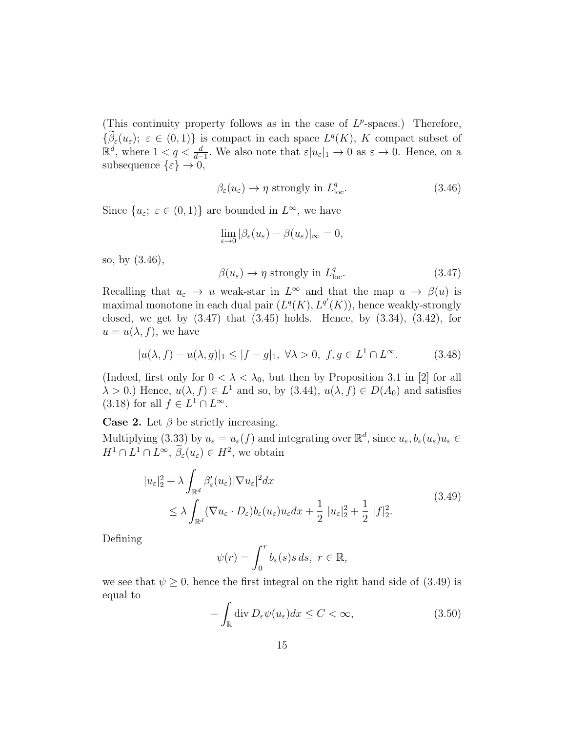(This continuity property follows as in the case of  $L^p$ -spaces.) Therefore,  $\{\hat{\beta}_{\varepsilon}(u_{\varepsilon});\ \varepsilon\in(0,1)\}\$ is compact in each space  $L^{q}(K)$ , K compact subset of  $\mathbb{R}^d$ , where  $1 < q < \frac{d}{d-1}$ . We also note that  $\varepsilon |u_{\varepsilon}|_1 \to 0$  as  $\varepsilon \to 0$ . Hence, on a subsequence  $\{\varepsilon\} \to 0$ ,

$$
\beta_{\varepsilon}(u_{\varepsilon}) \to \eta \text{ strongly in } L_{\text{loc}}^{q}.\tag{3.46}
$$

Since  $\{u_{\varepsilon}; \varepsilon \in (0,1)\}\)$  are bounded in  $L^{\infty}$ , we have

$$
\lim_{\varepsilon \to 0} |\beta_{\varepsilon}(u_{\varepsilon}) - \beta(u_{\varepsilon})|_{\infty} = 0,
$$

so, by (3.46),

$$
\beta(u_{\varepsilon}) \to \eta \text{ strongly in } L_{\text{loc}}^q. \tag{3.47}
$$

Recalling that  $u_{\varepsilon} \to u$  weak-star in  $L^{\infty}$  and that the map  $u \to \beta(u)$  is maximal monotone in each dual pair  $(L^q(K), L^{q'}(K))$ , hence weakly-strongly closed, we get by  $(3.47)$  that  $(3.45)$  holds. Hence, by  $(3.34)$ ,  $(3.42)$ , for  $u = u(\lambda, f)$ , we have

$$
|u(\lambda, f) - u(\lambda, g)|_1 \le |f - g|_1, \ \forall \lambda > 0, \ f, g \in L^1 \cap L^\infty. \tag{3.48}
$$

(Indeed, first only for  $0 < \lambda < \lambda_0$ , but then by Proposition 3.1 in [2] for all  $\lambda > 0$ .) Hence,  $u(\lambda, f) \in L^1$  and so, by  $(3.44)$ ,  $u(\lambda, f) \in D(A_0)$  and satisfies (3.18) for all  $f \in L^1 \cap L^{\infty}$ .

**Case 2.** Let  $\beta$  be strictly increasing.

Multiplying (3.33) by  $u_{\varepsilon} = u_{\varepsilon}(f)$  and integrating over  $\mathbb{R}^d$ , since  $u_{\varepsilon}, b_{\varepsilon}(u_{\varepsilon})u_{\varepsilon} \in$  $H^1 \cap L^1 \cap L^{\infty}, \tilde{\beta}_{\varepsilon}(u_{\varepsilon}) \in H^2$ , we obtain

$$
|u_{\varepsilon}|_{2}^{2} + \lambda \int_{\mathbb{R}^{d}} \beta_{\varepsilon}'(u_{\varepsilon}) |\nabla u_{\varepsilon}|^{2} dx
$$
  
 
$$
\leq \lambda \int_{\mathbb{R}^{d}} (\nabla u_{\varepsilon} \cdot D_{\varepsilon}) b_{\varepsilon}(u_{\varepsilon}) u_{\varepsilon} dx + \frac{1}{2} |u_{\varepsilon}|_{2}^{2} + \frac{1}{2} |f|_{2}^{2}. \tag{3.49}
$$

Defining

$$
\psi(r) = \int_0^r b_\varepsilon(s)s\,ds, \ r \in \mathbb{R},
$$

we see that  $\psi \geq 0$ , hence the first integral on the right hand side of (3.49) is equal to

$$
-\int_{\mathbb{R}} \operatorname{div} D_{\varepsilon} \psi(u_{\varepsilon}) dx \le C < \infty, \tag{3.50}
$$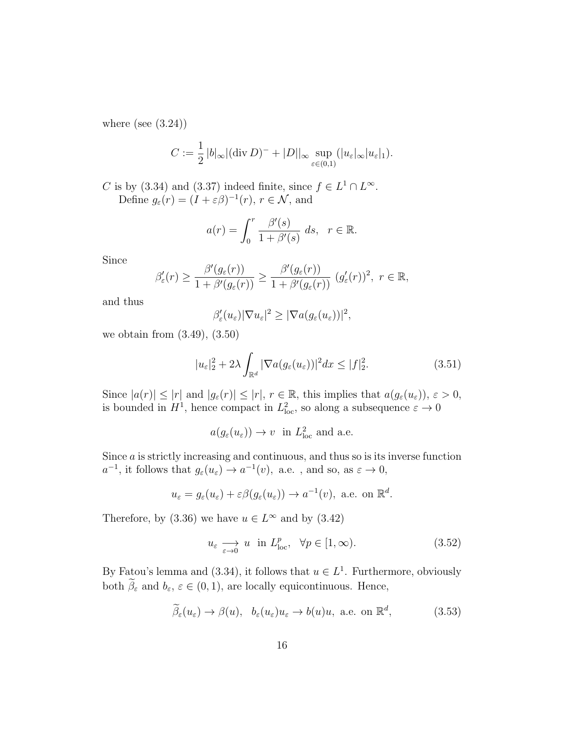where (see  $(3.24)$ )

$$
C := \frac{1}{2} |b|_{\infty} |(\text{div } D)^{-} + |D||_{\infty} \sup_{\varepsilon \in (0,1)} (|u_{\varepsilon}|_{\infty} |u_{\varepsilon}|_{1}).
$$

C is by (3.34) and (3.37) indeed finite, since  $f \in L^1 \cap L^{\infty}$ . Define  $g_{\varepsilon}(r) = (I + \varepsilon \beta)^{-1}(r), r \in \mathcal{N}$ , and

$$
a(r) = \int_0^r \frac{\beta'(s)}{1 + \beta'(s)} ds, \quad r \in \mathbb{R}.
$$

Since

$$
\beta'_{\varepsilon}(r) \geq \frac{\beta'(g_{\varepsilon}(r))}{1 + \beta'(g_{\varepsilon}(r))} \geq \frac{\beta'(g_{\varepsilon}(r))}{1 + \beta'(g_{\varepsilon}(r))} (g'_{\varepsilon}(r))^2, \ r \in \mathbb{R},
$$

and thus

$$
\beta_{\varepsilon}'(u_{\varepsilon})|\nabla u_{\varepsilon}|^2 \geq |\nabla a(g_{\varepsilon}(u_{\varepsilon}))|^2,
$$

we obtain from (3.49), (3.50)

$$
|u_{\varepsilon}|_{2}^{2} + 2\lambda \int_{\mathbb{R}^{d}} |\nabla a(g_{\varepsilon}(u_{\varepsilon}))|^{2} dx \le |f|_{2}^{2}.
$$
 (3.51)

Since  $|a(r)| \leq |r|$  and  $|g_{\varepsilon}(r)| \leq |r|, r \in \mathbb{R}$ , this implies that  $a(g_{\varepsilon}(u_{\varepsilon}))$ ,  $\varepsilon > 0$ , is bounded in  $H^1$ , hence compact in  $L^2_{loc}$ , so along a subsequence  $\varepsilon \to 0$ 

$$
a(g_{\varepsilon}(u_{\varepsilon})) \to v \text{ in } L^2_{\text{loc}}
$$
 and a.e.

Since a is strictly increasing and continuous, and thus so is its inverse function  $a^{-1}$ , it follows that  $g_{\varepsilon}(u_{\varepsilon}) \to a^{-1}(v)$ , a.e., and so, as  $\varepsilon \to 0$ ,

$$
u_{\varepsilon} = g_{\varepsilon}(u_{\varepsilon}) + \varepsilon \beta(g_{\varepsilon}(u_{\varepsilon})) \to a^{-1}(v)
$$
, a.e. on  $\mathbb{R}^d$ .

Therefore, by (3.36) we have  $u \in L^{\infty}$  and by (3.42)

$$
u_{\varepsilon} \longrightarrow u \quad \text{in} \ L^p_{\text{loc}}, \quad \forall p \in [1, \infty). \tag{3.52}
$$

By Fatou's lemma and (3.34), it follows that  $u \in L<sup>1</sup>$ . Furthermore, obviously both  $\widetilde{\beta}_{\varepsilon}$  and  $b_{\varepsilon}, \varepsilon \in (0, 1)$ , are locally equicontinuous. Hence,

$$
\widetilde{\beta}_{\varepsilon}(u_{\varepsilon}) \to \beta(u), \quad b_{\varepsilon}(u_{\varepsilon})u_{\varepsilon} \to b(u)u, \text{ a.e. on } \mathbb{R}^d,
$$
\n(3.53)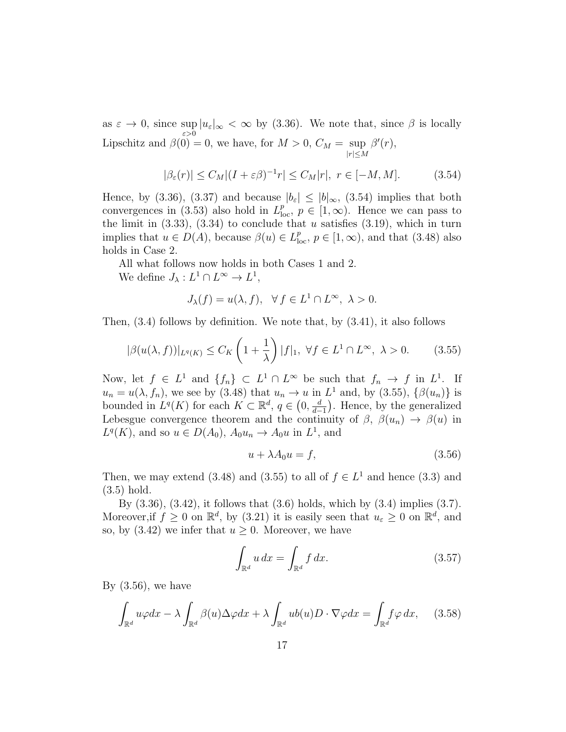as  $\varepsilon \to 0$ , since sup  $|u_{\varepsilon}|_{\infty} < \infty$  by (3.36). We note that, since  $\beta$  is locally ε>0 Lipschitz and  $\beta(0) = 0$ , we have, for  $M > 0$ ,  $C_M = \text{sup}$  $|r| \leq M$  $\beta'(r),$ 

$$
|\beta_{\varepsilon}(r)| \le C_M |(I + \varepsilon \beta)^{-1} r| \le C_M |r|, \ r \in [-M, M]. \tag{3.54}
$$

Hence, by (3.36), (3.37) and because  $|b_{\varepsilon}| \leq |b|_{\infty}$ , (3.54) implies that both convergences in (3.53) also hold in  $L_{\text{loc}}^p$ ,  $p \in [1,\infty)$ . Hence we can pass to the limit in  $(3.33)$ ,  $(3.34)$  to conclude that u satisfies  $(3.19)$ , which in turn implies that  $u \in D(A)$ , because  $\beta(u) \in L^p_{loc}, p \in [1, \infty)$ , and that (3.48) also holds in Case 2.

All what follows now holds in both Cases 1 and 2.

We define  $J_{\lambda}: L^{1} \cap L^{\infty} \to L^{1}$ ,

$$
J_{\lambda}(f) = u(\lambda, f), \quad \forall f \in L^{1} \cap L^{\infty}, \ \lambda > 0.
$$

Then, (3.4) follows by definition. We note that, by (3.41), it also follows

$$
|\beta(u(\lambda, f))|_{L^{q}(K)} \leq C_K \left(1 + \frac{1}{\lambda}\right)|f|_1, \ \forall f \in L^1 \cap L^{\infty}, \ \lambda > 0. \tag{3.55}
$$

Now, let  $f \in L^1$  and  $\{f_n\} \subset L^1 \cap L^{\infty}$  be such that  $f_n \to f$  in  $L^1$ . If  $u_n = u(\lambda, f_n)$ , we see by (3.48) that  $u_n \to u$  in  $L^1$  and, by (3.55),  $\{\beta(u_n)\}\$ is bounded in  $L^q(K)$  for each  $K \subset \mathbb{R}^d$ ,  $q \in (0, \frac{d}{d})$  $\frac{d}{d-1}$ ). Hence, by the generalized Lebesgue convergence theorem and the continuity of  $\beta$ ,  $\beta(u_n) \rightarrow \beta(u)$  in  $L^q(K)$ , and so  $u \in D(A_0)$ ,  $A_0 u_n \to A_0 u$  in  $L^1$ , and

$$
u + \lambda A_0 u = f,\tag{3.56}
$$

Then, we may extend (3.48) and (3.55) to all of  $f \in L<sup>1</sup>$  and hence (3.3) and (3.5) hold.

By (3.36), (3.42), it follows that (3.6) holds, which by (3.4) implies (3.7). Moreover, if  $f \geq 0$  on  $\mathbb{R}^d$ , by (3.21) it is easily seen that  $u_{\varepsilon} \geq 0$  on  $\mathbb{R}^d$ , and so, by  $(3.42)$  we infer that  $u \geq 0$ . Moreover, we have

$$
\int_{\mathbb{R}^d} u \, dx = \int_{\mathbb{R}^d} f \, dx. \tag{3.57}
$$

By  $(3.56)$ , we have

$$
\int_{\mathbb{R}^d} u\varphi dx - \lambda \int_{\mathbb{R}^d} \beta(u) \Delta \varphi dx + \lambda \int_{\mathbb{R}^d} ub(u) D \cdot \nabla \varphi dx = \int_{\mathbb{R}^d} f\varphi dx, \quad (3.58)
$$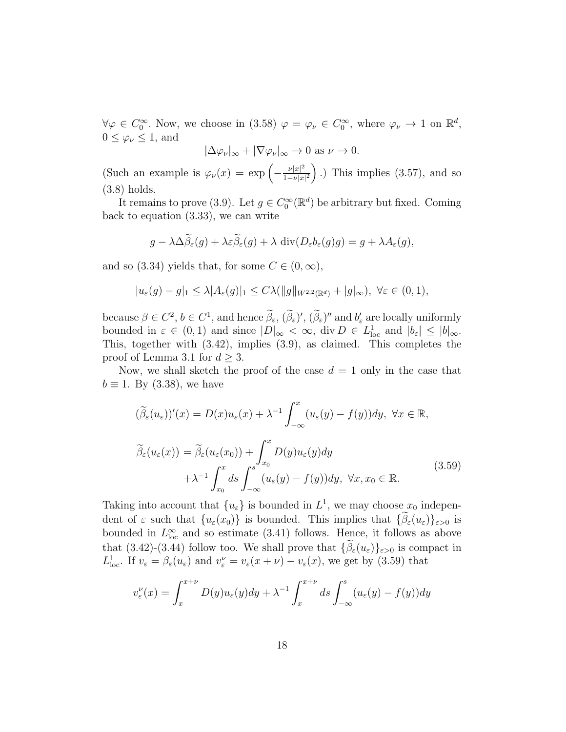$\forall \varphi \in C_0^{\infty}$ . Now, we choose in (3.58)  $\varphi = \varphi_{\nu} \in C_0^{\infty}$ , where  $\varphi_{\nu} \to 1$  on  $\mathbb{R}^d$ ,  $0 \leq \varphi_{\nu} \leq 1$ , and

$$
|\Delta\varphi_{\nu}|_{\infty} + |\nabla\varphi_{\nu}|_{\infty} \to 0 \text{ as } \nu \to 0.
$$

(Such an example is  $\varphi_{\nu}(x) = \exp \left(-\frac{\nu |x|^2}{1-\nu |x|}\right)$  $\frac{\nu |x|^2}{1-\nu |x|^2}$ ).) This implies (3.57), and so (3.8) holds.

It remains to prove (3.9). Let  $g \in C_0^{\infty}(\mathbb{R}^d)$  be arbitrary but fixed. Coming back to equation (3.33), we can write

$$
g - \lambda \Delta \widetilde{\beta}_{\varepsilon}(g) + \lambda \varepsilon \widetilde{\beta}_{\varepsilon}(g) + \lambda \operatorname{div}(D_{\varepsilon} b_{\varepsilon}(g)g) = g + \lambda A_{\varepsilon}(g),
$$

and so (3.34) yields that, for some  $C \in (0, \infty)$ ,

$$
|u_{\varepsilon}(g)-g|_{1} \leq \lambda |A_{\varepsilon}(g)|_{1} \leq C\lambda(||g||_{W^{2,2}(\mathbb{R}^{d})}+|g|_{\infty}), \ \forall \varepsilon \in (0,1),
$$

because  $\beta \in C^2$ ,  $b \in C^1$ , and hence  $\beta_{\varepsilon}$ ,  $(\beta_{\varepsilon})'$ ,  $(\beta_{\varepsilon})''$  and  $b'_{\varepsilon}$  are locally uniformly bounded in  $\varepsilon \in (0,1)$  and since  $|D|_{\infty} < \infty$ , div  $D \in L^1_{loc}$  and  $|b_{\varepsilon}| \leq |b|_{\infty}$ . This, together with (3.42), implies (3.9), as claimed. This completes the proof of Lemma 3.1 for  $d \geq 3$ .

Now, we shall sketch the proof of the case  $d = 1$  only in the case that  $b \equiv 1$ . By (3.38), we have

$$
(\widetilde{\beta}_{\varepsilon}(u_{\varepsilon}))'(x) = D(x)u_{\varepsilon}(x) + \lambda^{-1} \int_{-\infty}^{x} (u_{\varepsilon}(y) - f(y))dy, \ \forall x \in \mathbb{R},
$$

$$
\widetilde{\beta}_{\varepsilon}(u_{\varepsilon}(x)) = \widetilde{\beta}_{\varepsilon}(u_{\varepsilon}(x_0)) + \int_{x_0}^{x} D(y)u_{\varepsilon}(y)dy
$$

$$
+ \lambda^{-1} \int_{x_0}^{x} ds \int_{-\infty}^{s} (u_{\varepsilon}(y) - f(y))dy, \ \forall x, x_0 \in \mathbb{R}.
$$
\n(3.59)

Taking into account that  $\{u_{\varepsilon}\}\)$  is bounded in  $L^1$ , we may choose  $x_0$  independent of  $\varepsilon$  such that  $\{u_{\varepsilon}(x_0)\}\)$  is bounded. This implies that  $\{\tilde{\beta}_{\varepsilon}(u_{\varepsilon})\}_{\varepsilon>0}$  is bounded in  $L^{\infty}_{loc}$  and so estimate (3.41) follows. Hence, it follows as above that (3.42)-(3.44) follow too. We shall prove that  $\{\beta_{\varepsilon}(u_{\varepsilon})\}_{\varepsilon>0}$  is compact in  $L^1_{\text{loc}}$ . If  $v_{\varepsilon} = \beta_{\varepsilon}(u_{\varepsilon})$  and  $v_{\varepsilon}^{\nu} = v_{\varepsilon}(x + \nu) - v_{\varepsilon}(x)$ , we get by (3.59) that

$$
v_{\varepsilon}^{\nu}(x) = \int_{x}^{x+\nu} D(y)u_{\varepsilon}(y)dy + \lambda^{-1} \int_{x}^{x+\nu} ds \int_{-\infty}^{s} (u_{\varepsilon}(y) - f(y))dy
$$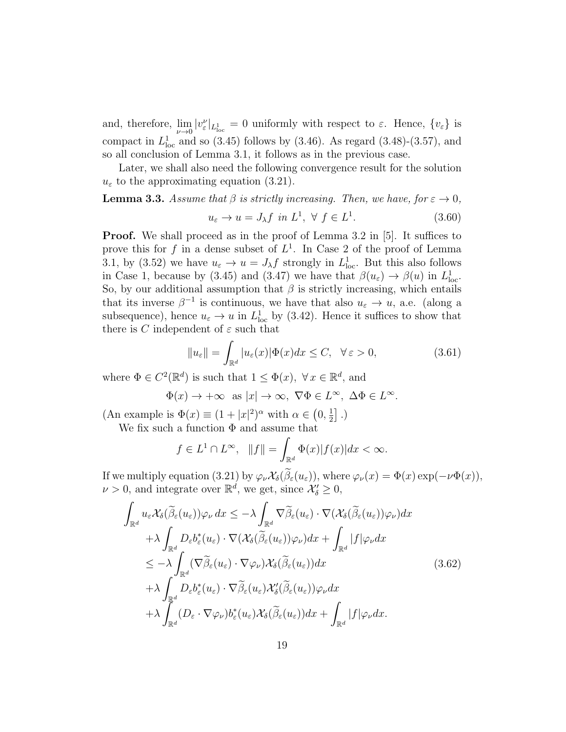and, therefore,  $\lim_{\nu\to 0} |v_{\varepsilon}^{\nu}|_{L^1_{loc}} = 0$  uniformly with respect to  $\varepsilon$ . Hence,  $\{v_{\varepsilon}\}\$ is compact in  $L^1_{loc}$  and so (3.45) follows by (3.46). As regard (3.48)-(3.57), and so all conclusion of Lemma 3.1, it follows as in the previous case.

Later, we shall also need the following convergence result for the solution  $u_{\varepsilon}$  to the approximating equation (3.21).

#### **Lemma 3.3.** Assume that  $\beta$  is strictly increasing. Then, we have, for  $\varepsilon \to 0$ ,  $u_{\varepsilon} \to u = J_{\lambda} f$  in  $L^1$ ,  $\forall f \in L^1$  $(3.60)$

**Proof.** We shall proceed as in the proof of Lemma 3.2 in [5]. It suffices to prove this for f in a dense subset of  $L^1$ . In Case 2 of the proof of Lemma 3.1, by (3.52) we have  $u_{\varepsilon} \to u = J_{\lambda} f$  strongly in  $L^1_{loc}$ . But this also follows in Case 1, because by (3.45) and (3.47) we have that  $\beta(u_{\varepsilon}) \to \beta(u)$  in  $L^1_{loc}$ . So, by our additional assumption that  $\beta$  is strictly increasing, which entails that its inverse  $\beta^{-1}$  is continuous, we have that also  $u_{\varepsilon} \to u$ , a.e. (along a subsequence), hence  $u_{\varepsilon} \to u$  in  $L^1_{\text{loc}}$  by (3.42). Hence it suffices to show that there is C independent of  $\varepsilon$  such that

$$
||u_{\varepsilon}|| = \int_{\mathbb{R}^d} |u_{\varepsilon}(x)| \Phi(x) dx \le C, \quad \forall \, \varepsilon > 0,
$$
\n(3.61)

where  $\Phi \in C^2(\mathbb{R}^d)$  is such that  $1 \leq \Phi(x)$ ,  $\forall x \in \mathbb{R}^d$ , and

$$
\Phi(x) \to +\infty \text{ as } |x| \to \infty, \ \nabla \Phi \in L^{\infty}, \ \Delta \Phi \in L^{\infty}.
$$

(An example is  $\Phi(x) \equiv (1+|x|^2)^\alpha$  with  $\alpha \in (0, \frac{1}{2})$  $\frac{1}{2}$ .)

We fix such a function  $\Phi$  and assume that

$$
f \in L^1 \cap L^{\infty}, \quad ||f|| = \int_{\mathbb{R}^d} \Phi(x) |f(x)| dx < \infty.
$$

If we multiply equation (3.21) by  $\varphi_{\nu} \mathcal{X}_{\delta}(\tilde{\beta}_{\varepsilon}(u_{\varepsilon}))$ , where  $\varphi_{\nu}(x) = \Phi(x) \exp(-\nu \Phi(x))$ ,  $\nu > 0$ , and integrate over  $\mathbb{R}^d$ , we get, since  $\mathcal{X}'_{\delta} \geq 0$ ,

$$
\int_{\mathbb{R}^d} u_{\varepsilon} \mathcal{X}_{\delta}(\widetilde{\beta}_{\varepsilon}(u_{\varepsilon})) \varphi_{\nu} dx \leq -\lambda \int_{\mathbb{R}^d} \nabla \widetilde{\beta}_{\varepsilon}(u_{\varepsilon}) \cdot \nabla(\mathcal{X}_{\delta}(\widetilde{\beta}_{\varepsilon}(u_{\varepsilon})) \varphi_{\nu}) dx \n+ \lambda \int_{\mathbb{R}^d} D_{\varepsilon} b_{\varepsilon}^*(u_{\varepsilon}) \cdot \nabla(\mathcal{X}_{\delta}(\widetilde{\beta}_{\varepsilon}(u_{\varepsilon})) \varphi_{\nu}) dx + \int_{\mathbb{R}^d} |f| \varphi_{\nu} dx \n\leq -\lambda \int_{\mathbb{R}^d} (\nabla \widetilde{\beta}_{\varepsilon}(u_{\varepsilon}) \cdot \nabla \varphi_{\nu}) \mathcal{X}_{\delta}(\widetilde{\beta}_{\varepsilon}(u_{\varepsilon})) dx \n+ \lambda \int_{\mathbb{R}^d} D_{\varepsilon} b_{\varepsilon}^*(u_{\varepsilon}) \cdot \nabla \widetilde{\beta}_{\varepsilon}(u_{\varepsilon}) \mathcal{X}'_{\delta}(\widetilde{\beta}_{\varepsilon}(u_{\varepsilon})) \varphi_{\nu} dx \n+ \lambda \int_{\mathbb{R}^d} (D_{\varepsilon} \cdot \nabla \varphi_{\nu}) b_{\varepsilon}^*(u_{\varepsilon}) \mathcal{X}_{\delta}(\widetilde{\beta}_{\varepsilon}(u_{\varepsilon})) dx + \int_{\mathbb{R}^d} |f| \varphi_{\nu} dx.
$$
\n(3.62)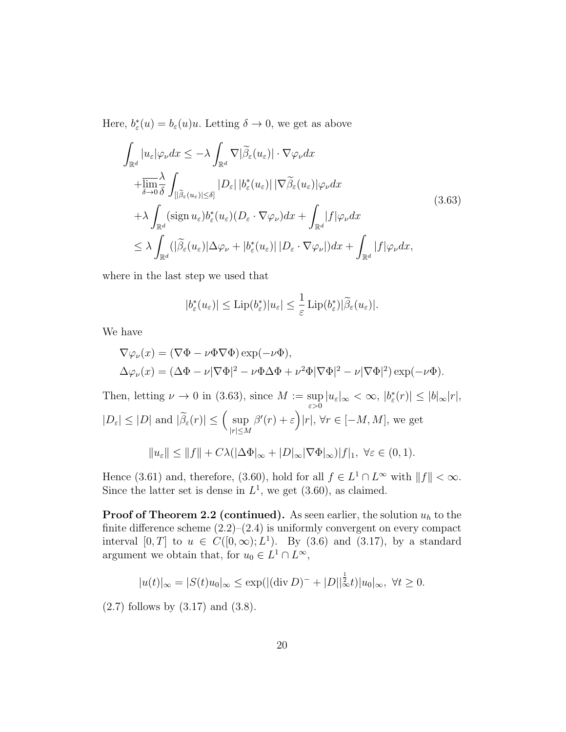Here,  $b_{\varepsilon}^*(u) = b_{\varepsilon}(u)u$ . Letting  $\delta \to 0$ , we get as above

$$
\int_{\mathbb{R}^d} |u_{\varepsilon}| \varphi_{\nu} dx \leq -\lambda \int_{\mathbb{R}^d} \nabla |\widetilde{\beta}_{\varepsilon}(u_{\varepsilon})| \cdot \nabla \varphi_{\nu} dx \n+ \overline{\lim_{\delta \to 0}} \frac{\lambda}{\delta} \int_{[|\widetilde{\beta}_{\varepsilon}(u_{\varepsilon})| \leq \delta]} |D_{\varepsilon}| |b_{\varepsilon}^*(u_{\varepsilon})| |\nabla \widetilde{\beta}_{\varepsilon}(u_{\varepsilon})| \varphi_{\nu} dx \n+ \lambda \int_{\mathbb{R}^d} (\text{sign } u_{\varepsilon}) b_{\varepsilon}^*(u_{\varepsilon}) (D_{\varepsilon} \cdot \nabla \varphi_{\nu}) dx + \int_{\mathbb{R}^d} |f| \varphi_{\nu} dx \n\leq \lambda \int_{\mathbb{R}^d} (|\widetilde{\beta}_{\varepsilon}(u_{\varepsilon})| \Delta \varphi_{\nu} + |b_{\varepsilon}^*(u_{\varepsilon})| |D_{\varepsilon} \cdot \nabla \varphi_{\nu}|) dx + \int_{\mathbb{R}^d} |f| \varphi_{\nu} dx,
$$
\n(3.63)

where in the last step we used that

$$
|b_{\varepsilon}^*(u_{\varepsilon})| \leq \mathrm{Lip}(b_{\varepsilon}^*)|u_{\varepsilon}| \leq \frac{1}{\varepsilon} \mathrm{Lip}(b_{\varepsilon}^*)|\widetilde{\beta}_{\varepsilon}(u_{\varepsilon})|.
$$

We have

$$
\nabla \varphi_{\nu}(x) = (\nabla \Phi - \nu \Phi \nabla \Phi) \exp(-\nu \Phi),
$$
  

$$
\Delta \varphi_{\nu}(x) = (\Delta \Phi - \nu |\nabla \Phi|^2 - \nu \Phi \Delta \Phi + \nu^2 \Phi |\nabla \Phi|^2 - \nu |\nabla \Phi|^2) \exp(-\nu \Phi).
$$

Then, letting  $\nu \to 0$  in (3.63), since  $M := \sup$  $\sup_{\varepsilon>0} |u_{\varepsilon}|_{\infty} < \infty, |b_{\varepsilon}^*(r)| \leq |b|_{\infty}|r|,$  $|D_{\varepsilon}| \leq |D|$  and  $|\widetilde{\beta}_{\varepsilon}(r)| \leq \left(\sup_{|r| \leq N}$  $|r| \leq M$  $\beta'(r) + \varepsilon \bigg| |r|, \, \forall r \in [-M, M],$  we get  $||u_{\varepsilon}|| \leq ||f|| + C\lambda (|\Delta \Phi|_{\infty} + |D|_{\infty} |\nabla \Phi|_{\infty}) |f|_1, \ \forall \varepsilon \in (0,1).$ 

Hence (3.61) and, therefore, (3.60), hold for all  $f \in L^1 \cap L^{\infty}$  with  $||f|| < \infty$ . Since the latter set is dense in  $L^1$ , we get  $(3.60)$ , as claimed.

**Proof of Theorem 2.2 (continued).** As seen earlier, the solution  $u_h$  to the finite difference scheme  $(2.2)$ – $(2.4)$  is uniformly convergent on every compact interval [0, T] to  $u \in C([0,\infty); L^1)$ . By (3.6) and (3.17), by a standard argument we obtain that, for  $u_0 \in L^1 \cap L^{\infty}$ ,

$$
|u(t)|_{\infty} = |S(t)u_0|_{\infty} \le \exp(|(\text{div } D)^{-} + |D||_{\infty}^{\frac{1}{2}}t)|u_0|_{\infty}, \ \forall t \ge 0.
$$

(2.7) follows by (3.17) and (3.8).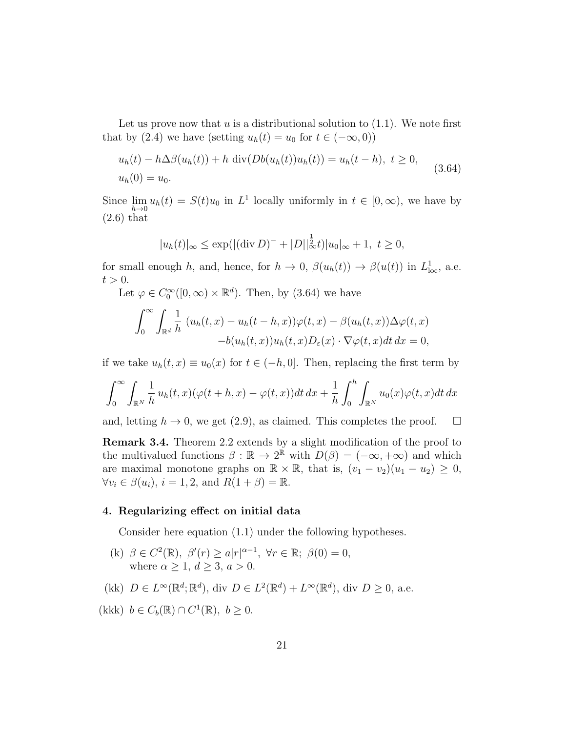Let us prove now that u is a distributional solution to  $(1.1)$ . We note first that by (2.4) we have (setting  $u_h(t) = u_0$  for  $t \in (-\infty, 0)$ )

$$
u_h(t) - h\Delta\beta(u_h(t)) + h \operatorname{div}(Db(u_h(t))u_h(t)) = u_h(t-h), \ t \ge 0, u_h(0) = u_0.
$$
 (3.64)

Since  $\lim_{h\to 0} u_h(t) = S(t)u_0$  in  $L^1$  locally uniformly in  $t \in [0,\infty)$ , we have by (2.6) that

$$
|u_h(t)|_{\infty} \le \exp(|(\text{div}\,D)^{-} + |D||_{\infty}^{\frac{1}{2}}t)|u_0|_{\infty} + 1, \ t \ge 0,
$$

for small enough h, and, hence, for  $h \to 0$ ,  $\beta(u_h(t)) \to \beta(u(t))$  in  $L^1_{loc}$ , a.e.  $t > 0$ .

Let  $\varphi \in C_0^{\infty}([0,\infty) \times \mathbb{R}^d)$ . Then, by (3.64) we have

$$
\int_0^\infty \int_{\mathbb{R}^d} \frac{1}{h} (u_h(t,x) - u_h(t-h,x)) \varphi(t,x) - \beta(u_h(t,x)) \Delta \varphi(t,x) -b(u_h(t,x)) u_h(t,x) D_\varepsilon(x) \cdot \nabla \varphi(t,x) dt dx = 0,
$$

if we take  $u_h(t, x) \equiv u_0(x)$  for  $t \in (-h, 0]$ . Then, replacing the first term by

$$
\int_0^\infty \int_{\mathbb{R}^N} \frac{1}{h} u_h(t,x) (\varphi(t+h,x) - \varphi(t,x)) dt dx + \frac{1}{h} \int_0^h \int_{\mathbb{R}^N} u_0(x) \varphi(t,x) dt dx
$$

and, letting  $h \to 0$ , we get (2.9), as claimed. This completes the proof.  $\Box$ 

Remark 3.4. Theorem 2.2 extends by a slight modification of the proof to the multivalued functions  $\beta : \mathbb{R} \to 2^{\mathbb{R}}$  with  $D(\beta) = (-\infty, +\infty)$  and which are maximal monotone graphs on  $\mathbb{R} \times \mathbb{R}$ , that is,  $(v_1 - v_2)(u_1 - u_2) \geq 0$ ,  $\forall v_i \in \beta(u_i), i = 1, 2, \text{ and } R(1 + \beta) = \mathbb{R}.$ 

#### 4. Regularizing effect on initial data

Consider here equation (1.1) under the following hypotheses.

- (k)  $\beta \in C^2(\mathbb{R}), \ \beta'(r) \ge a |r|^{\alpha-1}, \ \forall r \in \mathbb{R}; \ \beta(0) = 0,$ where  $\alpha \geq 1, d \geq 3, a > 0$ .
- (kk)  $D \in L^{\infty}(\mathbb{R}^d; \mathbb{R}^d)$ , div  $D \in L^2(\mathbb{R}^d) + L^{\infty}(\mathbb{R}^d)$ , div  $D \geq 0$ , a.e.
- (kkk)  $b \in C_b(\mathbb{R}) \cap C^1(\mathbb{R}), b \ge 0.$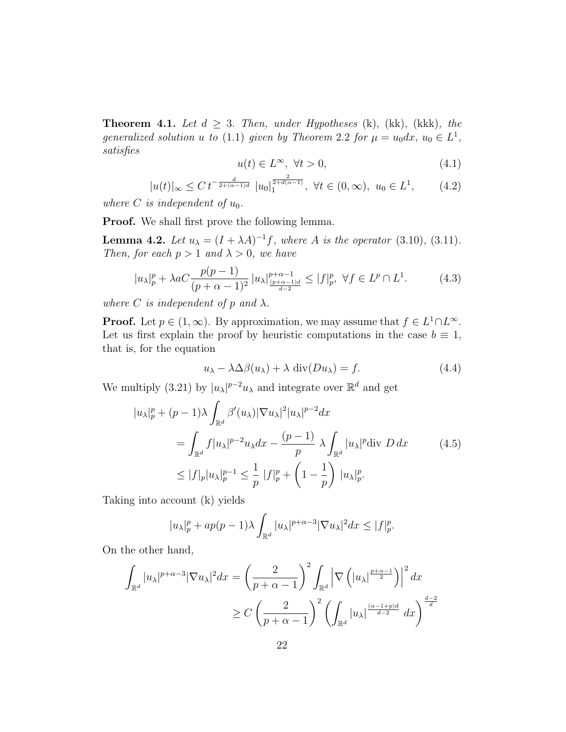**Theorem 4.1.** Let  $d \geq 3$ . Then, under Hypotheses (k), (kk), (kkk), the generalized solution u to (1.1) given by Theorem 2.2 for  $\mu = u_0 dx$ ,  $u_0 \in L^1$ , satisfies

$$
u(t) \in L^{\infty}, \ \forall t > 0,
$$
\n
$$
(4.1)
$$

$$
|u(t)|_{\infty} \leq C t^{-\frac{d}{2 + (\alpha - 1)d}} |u_0|_1^{\frac{2}{2 + d(\alpha - 1)}}, \ \forall t \in (0, \infty), \ u_0 \in L^1,
$$
 (4.2)

where C is independent of  $u_0$ .

**Proof.** We shall first prove the following lemma.

**Lemma 4.2.** Let  $u_{\lambda} = (I + \lambda A)^{-1} f$ , where A is the operator (3.10), (3.11). Then, for each  $p > 1$  and  $\lambda > 0$ , we have

$$
|u_{\lambda}|_{p}^{p} + \lambda a C \frac{p(p-1)}{(p+\alpha-1)^{2}} |u_{\lambda}|_{\frac{(p+\alpha-1)d}{d-2}}^{p+\alpha-1} \le |f|_{p}^{p}, \ \forall f \in L^{p} \cap L^{1}.
$$
 (4.3)

where C is independent of p and  $\lambda$ .

**Proof.** Let  $p \in (1, \infty)$ . By approximation, we may assume that  $f \in L^1 \cap L^{\infty}$ . Let us first explain the proof by heuristic computations in the case  $b \equiv 1$ , that is, for the equation

$$
u_{\lambda} - \lambda \Delta \beta(u_{\lambda}) + \lambda \operatorname{div}(Du_{\lambda}) = f. \tag{4.4}
$$

We multiply (3.21) by  $|u_{\lambda}|^{p-2}u_{\lambda}$  and integrate over  $\mathbb{R}^d$  and get

$$
u_{\lambda}|_{p}^{p} + (p-1)\lambda \int_{\mathbb{R}^{d}} \beta'(u_{\lambda})|\nabla u_{\lambda}|^{2} |u_{\lambda}|^{p-2} dx
$$
  

$$
= \int_{\mathbb{R}^{d}} f|u_{\lambda}|^{p-2} u_{\lambda} dx - \frac{(p-1)}{p} \lambda \int_{\mathbb{R}^{d}} |u_{\lambda}|^{p} \text{div } D dx \qquad (4.5)
$$
  

$$
\leq |f|_{p}|u_{\lambda}|_{p}^{p-1} \leq \frac{1}{p} |f|_{p}^{p} + \left(1 - \frac{1}{p}\right) |u_{\lambda}|_{p}^{p}.
$$

Taking into account (k) yields

$$
|u_{\lambda}|_{p}^{p} + ap(p-1)\lambda \int_{\mathbb{R}^{d}} |u_{\lambda}|^{p+\alpha-3} |\nabla u_{\lambda}|^{2} dx \leq |f|_{p}^{p}.
$$

On the other hand,

 $\overline{\phantom{a}}$ 

$$
\int_{\mathbb{R}^d} |u_\lambda|^{p+\alpha-3} |\nabla u_\lambda|^2 dx = \left(\frac{2}{p+\alpha-1}\right)^2 \int_{\mathbb{R}^d} \left|\nabla \left(|u_\lambda|^{\frac{p+\alpha-1}{2}}\right)\right|^2 dx
$$
  

$$
\geq C \left(\frac{2}{p+\alpha-1}\right)^2 \left(\int_{\mathbb{R}^d} |u_\lambda|^{\frac{(\alpha-1+p)d}{d-2}} dx\right)^{\frac{d-2}{d}}
$$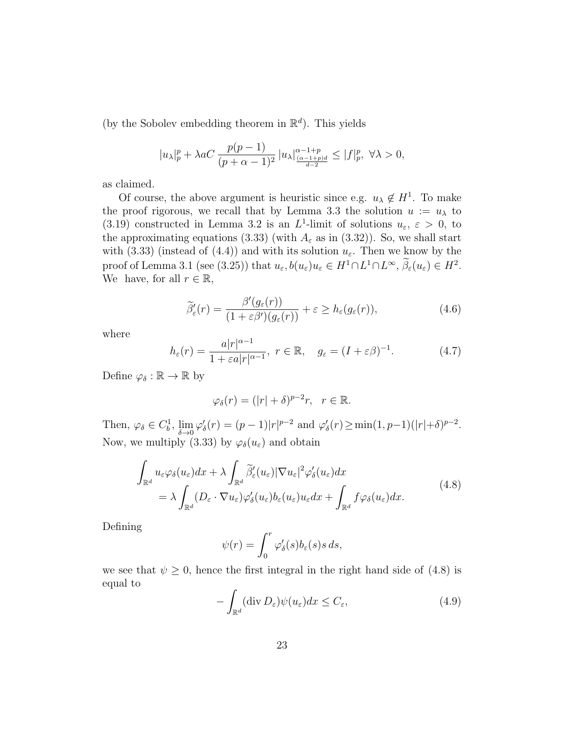(by the Sobolev embedding theorem in  $\mathbb{R}^d$ ). This yields

$$
|u_\lambda|_p^p + \lambda aC \frac{p(p-1)}{(p+\alpha-1)^2} |u_\lambda|_{\frac{(\alpha-1+p)d}{d-2}}^{\alpha-1+p} \le |f|_p^p, \ \forall \lambda > 0,
$$

as claimed.

Of course, the above argument is heuristic since e.g.  $u_{\lambda} \notin H^1$ . To make the proof rigorous, we recall that by Lemma 3.3 the solution  $u := u_\lambda$  to (3.19) constructed in Lemma 3.2 is an  $L^1$ -limit of solutions  $u_{\varepsilon}$ ,  $\varepsilon > 0$ , to the approximating equations (3.33) (with  $A_{\varepsilon}$  as in (3.32)). So, we shall start with (3.33) (instead of (4.4)) and with its solution  $u_{\varepsilon}$ . Then we know by the proof of Lemma 3.1 (see (3.25)) that  $u_{\varepsilon}, b(u_{\varepsilon})u_{\varepsilon} \in H^1 \cap L^1 \cap L^{\infty}, \beta_{\varepsilon}(u_{\varepsilon}) \in H^2$ . We have, for all  $r \in \mathbb{R}$ ,

$$
\widetilde{\beta}'_{\varepsilon}(r) = \frac{\beta'(g_{\varepsilon}(r))}{(1 + \varepsilon \beta')(g_{\varepsilon}(r))} + \varepsilon \ge h_{\varepsilon}(g_{\varepsilon}(r)),
$$
\n(4.6)

where

$$
h_{\varepsilon}(r) = \frac{a|r|^{\alpha - 1}}{1 + \varepsilon a|r|^{\alpha - 1}}, \ r \in \mathbb{R}, \quad g_{\varepsilon} = (I + \varepsilon \beta)^{-1}.
$$
 (4.7)

Define  $\varphi_{\delta} : \mathbb{R} \to \mathbb{R}$  by

$$
\varphi_{\delta}(r) = (|r| + \delta)^{p-2}r, \ \ r \in \mathbb{R}.
$$

Then,  $\varphi_{\delta} \in C_b^1$ ,  $\lim_{\delta \to 0} \varphi'_{\delta}(r) = (p-1)|r|^{p-2}$  and  $\varphi'_{\delta}(r) \ge \min(1, p-1)(|r| + \delta)^{p-2}$ . Now, we multiply (3.33) by  $\varphi_{\delta}(u_{\varepsilon})$  and obtain

$$
\int_{\mathbb{R}^d} u_{\varepsilon} \varphi_{\delta}(u_{\varepsilon}) dx + \lambda \int_{\mathbb{R}^d} \widetilde{\beta}_{\varepsilon}'(u_{\varepsilon}) |\nabla u_{\varepsilon}|^2 \varphi_{\delta}'(u_{\varepsilon}) dx \n= \lambda \int_{\mathbb{R}^d} (D_{\varepsilon} \cdot \nabla u_{\varepsilon}) \varphi_{\delta}'(u_{\varepsilon}) b_{\varepsilon}(u_{\varepsilon}) u_{\varepsilon} dx + \int_{\mathbb{R}^d} f \varphi_{\delta}(u_{\varepsilon}) dx.
$$
\n(4.8)

Defining

$$
\psi(r) = \int_0^r \varphi_\delta'(s) b_\varepsilon(s) s \, ds,
$$

we see that  $\psi \geq 0$ , hence the first integral in the right hand side of (4.8) is equal to

$$
-\int_{\mathbb{R}^d} (\operatorname{div} D_{\varepsilon}) \psi(u_{\varepsilon}) dx \le C_{\varepsilon},\tag{4.9}
$$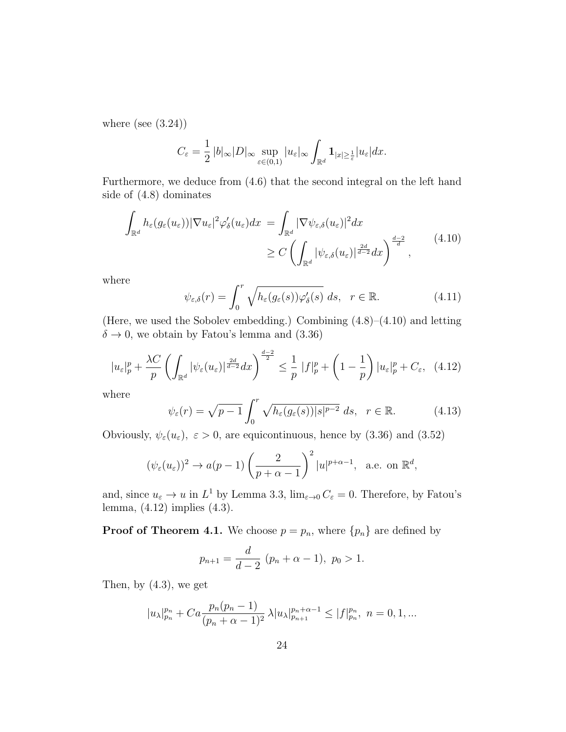where (see  $(3.24)$ )

$$
C_{\varepsilon} = \frac{1}{2} |b|_{\infty} |D|_{\infty} \sup_{\varepsilon \in (0,1)} |u_{\varepsilon}|_{\infty} \int_{\mathbb{R}^d} \mathbf{1}_{|x| \geq \frac{1}{\varepsilon}} |u_{\varepsilon}| dx.
$$

Furthermore, we deduce from (4.6) that the second integral on the left hand side of (4.8) dominates

$$
\int_{\mathbb{R}^d} h_{\varepsilon}(g_{\varepsilon}(u_{\varepsilon})) |\nabla u_{\varepsilon}|^2 \varphi_{\delta}'(u_{\varepsilon}) dx = \int_{\mathbb{R}^d} |\nabla \psi_{\varepsilon,\delta}(u_{\varepsilon})|^2 dx
$$
\n
$$
\geq C \left( \int_{\mathbb{R}^d} |\psi_{\varepsilon,\delta}(u_{\varepsilon})|^{\frac{2d}{d-2}} dx \right)^{\frac{d-2}{d}}, \tag{4.10}
$$

where

$$
\psi_{\varepsilon,\delta}(r) = \int_0^r \sqrt{h_{\varepsilon}(g_{\varepsilon}(s))\varphi_{\delta}'(s)} ds, \quad r \in \mathbb{R}.
$$
 (4.11)

(Here, we used the Sobolev embedding.) Combining (4.8)–(4.10) and letting  $\delta \rightarrow 0$ , we obtain by Fatou's lemma and (3.36)

$$
|u_{\varepsilon}|_p^p + \frac{\lambda C}{p} \left( \int_{\mathbb{R}^d} |\psi_{\varepsilon}(u_{\varepsilon})|^{\frac{2d}{d-2}} dx \right)^{\frac{d-2}{2}} \le \frac{1}{p} |f|_p^p + \left( 1 - \frac{1}{p} \right) |u_{\varepsilon}|_p^p + C_{\varepsilon}, \tag{4.12}
$$

where

$$
\psi_{\varepsilon}(r) = \sqrt{p-1} \int_0^r \sqrt{h_{\varepsilon}(g_{\varepsilon}(s))|s|^{p-2}} ds, \quad r \in \mathbb{R}.
$$
 (4.13)

Obviously,  $\psi_{\varepsilon}(u_{\varepsilon}), \varepsilon > 0$ , are equicontinuous, hence by (3.36) and (3.52)

$$
(\psi_{\varepsilon}(u_{\varepsilon}))^{2} \to a(p-1)\left(\frac{2}{p+\alpha-1}\right)^{2}|u|^{p+\alpha-1}, \text{ a.e. on } \mathbb{R}^{d},
$$

and, since  $u_{\varepsilon} \to u$  in  $L^1$  by Lemma 3.3,  $\lim_{\varepsilon \to 0} C_{\varepsilon} = 0$ . Therefore, by Fatou's lemma, (4.12) implies (4.3).

**Proof of Theorem 4.1.** We choose  $p = p_n$ , where  $\{p_n\}$  are defined by

$$
p_{n+1} = \frac{d}{d-2} (p_n + \alpha - 1), \ p_0 > 1.
$$

Then, by  $(4.3)$ , we get

$$
|u_{\lambda}|_{p_n}^{p_n} + Ca\frac{p_n(p_n-1)}{(p_n+\alpha-1)^2} \lambda |u_{\lambda}|_{p_{n+1}}^{p_n+\alpha-1} \le |f|_{p_n}^{p_n}, \ n = 0, 1, ...
$$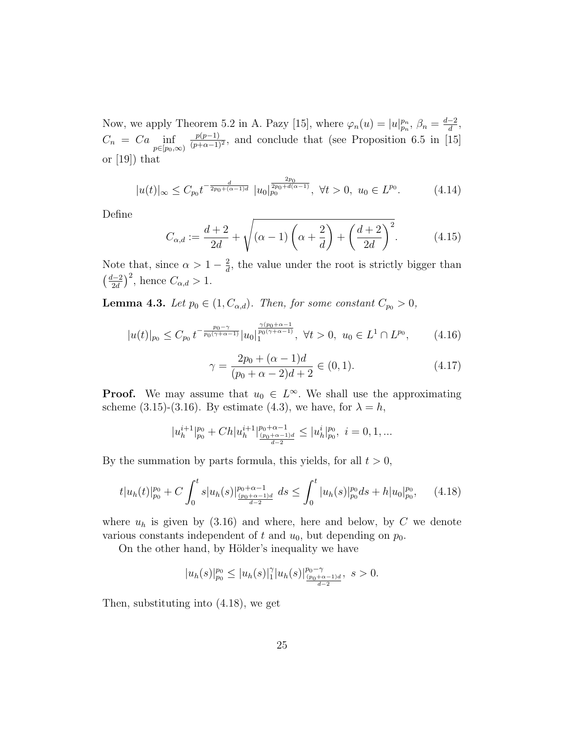Now, we apply Theorem 5.2 in A. Pazy [15], where  $\varphi_n(u) = |u|_{p_n}^{p_n}, \beta_n = \frac{d-2}{d}$ , d  $C_n = Ca \inf_{p \in [p_0, \infty)}$  $p(p-1)$  $\frac{p(p-1)}{(p+\alpha-1)^2}$ , and conclude that (see Proposition 6.5 in [15] or [19]) that

$$
|u(t)|_{\infty} \le C_{p_0} t^{-\frac{d}{2p_0 + (\alpha - 1)d}} \ |u_0|_{p_0}^{\frac{2p_0}{2p_0 + d(\alpha - 1)}}, \ \forall t > 0, \ u_0 \in L^{p_0}.
$$
 (4.14)

Define

$$
C_{\alpha,d} := \frac{d+2}{2d} + \sqrt{(\alpha - 1)\left(\alpha + \frac{2}{d}\right) + \left(\frac{d+2}{2d}\right)^2}.
$$
 (4.15)

Note that, since  $\alpha > 1 - \frac{2}{d}$  $\frac{2}{d}$ , the value under the root is strictly bigger than  $\left(\frac{d-2}{2} \right)$  $\frac{d-2}{2d}$ , hence  $C_{\alpha,d} > 1$ .

**Lemma 4.3.** Let  $p_0 \in (1, C_{\alpha,d})$ . Then, for some constant  $C_{p_0} > 0$ ,

$$
|u(t)|_{p_0} \le C_{p_0} t^{-\frac{p_0 - \gamma}{p_0(\gamma + \alpha - 1)}} |u_0|_1^{\frac{\gamma(p_0 + \alpha - 1)}{p_0(\gamma + \alpha - 1)}}, \ \forall t > 0, \ u_0 \in L^1 \cap L^{p_0}, \qquad (4.16)
$$

$$
\gamma = \frac{2p_0 + (\alpha - 1)d}{(p_0 + \alpha - 2)d + 2} \in (0, 1).
$$
\n(4.17)

**Proof.** We may assume that  $u_0 \in L^{\infty}$ . We shall use the approximating scheme (3.15)-(3.16). By estimate (4.3), we have, for  $\lambda = h$ ,

$$
|u^{i+1}_h|^{p_0}_{p_0}+Ch|u^{i+1}_h|^{p_0+\alpha-1}_{\frac{(p_0+\alpha-1)d}{d-2}}\leq |u^{i}_h|^{p_0}_{p_0},\ i=0,1,\ldots
$$

By the summation by parts formula, this yields, for all  $t > 0$ ,

$$
t|u_h(t)|_{p_0}^{p_0} + C \int_0^t s|u_h(s)|_{\frac{(p_0 + \alpha - 1)}{d - 2}}^{p_0 + \alpha - 1} ds \le \int_0^t |u_h(s)|_{p_0}^{p_0} ds + h|u_0|_{p_0}^{p_0}, \quad (4.18)
$$

where  $u_h$  is given by (3.16) and where, here and below, by C we denote various constants independent of t and  $u_0$ , but depending on  $p_0$ .

On the other hand, by Hölder's inequality we have

$$
|u_h(s)|_{p_0}^{p_0} \le |u_h(s)|_1^{\gamma}|u_h(s)|_{\frac{(p_0+\alpha-1)d}{d-2}}^{p_0-\gamma}, \ s>0.
$$

Then, substituting into (4.18), we get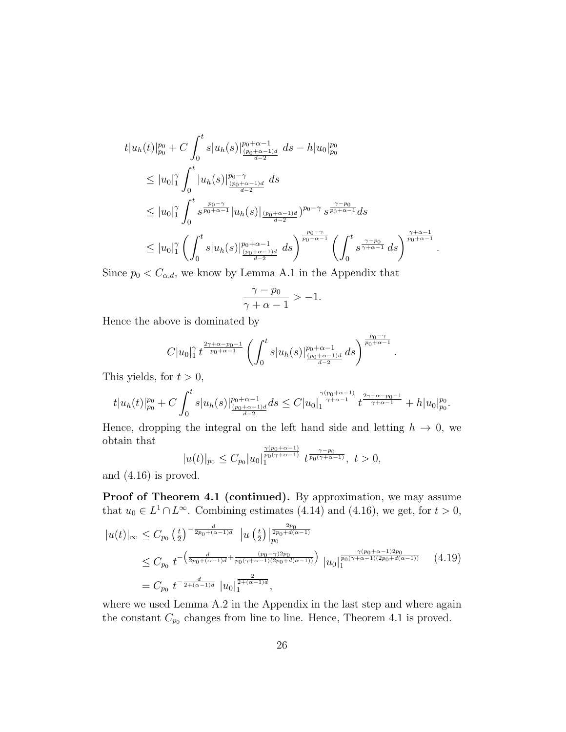$$
t|u_h(t)|_{p_0}^{p_0} + C \int_0^t s|u_h(s)|_{\frac{(p_0 + \alpha - 1)d}{d - 2}}^{p_0 + \alpha - 1} ds - h|u_0|_{p_0}^{p_0}
$$
  
\n
$$
\leq |u_0|_1^{\gamma} \int_0^t |u_h(s)|_{\frac{(p_0 + \alpha - 1)d}{d - 2}}^{p_0 - \gamma} ds
$$
  
\n
$$
\leq |u_0|_1^{\gamma} \int_0^t s^{\frac{p_0 - \gamma}{p_0 + \alpha - 1}} |u_h(s)|_{\frac{(p_0 + \alpha - 1)d}{d - 2}}^{p_0 + \alpha - 1} p_0 - \gamma} s^{\frac{\gamma - p_0}{p_0 + \alpha - 1}} ds
$$
  
\n
$$
\leq |u_0|_1^{\gamma} \left( \int_0^t s|u_h(s)|_{\frac{(p_0 + \alpha - 1)d}{d - 2}}^{p_0 + \alpha - 1} ds \right)^{\frac{p_0 - \gamma}{p_0 + \alpha - 1}} \left( \int_0^t s^{\frac{\gamma - p_0}{\gamma + \alpha - 1}} ds \right)^{\frac{\gamma + \alpha - 1}{p_0 + \alpha - 1}}
$$

.

.

Since  $p_0 < C_{\alpha,d}$ , we know by Lemma A.1 in the Appendix that

$$
\frac{\gamma - p_0}{\gamma + \alpha - 1} > -1.
$$

Hence the above is dominated by

$$
C|u_0|_1^{\gamma} t^{\frac{2\gamma+\alpha-p_0-1}{p_0+\alpha-1}}\left(\int_0^t s|u_h(s)|\frac{p_0+\alpha-1}{\frac{(p_0+\alpha-1)d}{d-2}}\,ds\right)^{\frac{p_0-\gamma}{p_0+\alpha-1}}
$$

This yields, for  $t > 0$ ,

$$
t|u_h(t)|_{p_0}^{p_0}+C\int_0^t s|u_h(s)|_{\frac{(p_0+\alpha-1)d}{d-2}}^{p_0+\alpha-1}ds\leq C|u_0|_1^{\frac{\gamma(p_0+\alpha-1)}{\gamma+\alpha-1}}t^{\frac{2\gamma+\alpha-p_0-1}{\gamma+\alpha-1}}+h|u_0|_{p_0}^{p_0}.
$$

Hence, dropping the integral on the left hand side and letting  $h \to 0$ , we obtain that

$$
|u(t)|_{p_0}\leq C_{p_0}|u_0|_1^{\frac{\gamma(p_0+\alpha-1)}{p_0(\gamma+\alpha-1)}}t^{\frac{\gamma-p_0}{p_0(\gamma+\alpha-1)}},\ t>0,
$$

and (4.16) is proved.

Proof of Theorem 4.1 (continued). By approximation, we may assume that  $u_0 \in L^1 \cap L^{\infty}$ . Combining estimates (4.14) and (4.16), we get, for  $t > 0$ ,

$$
|u(t)|_{\infty} \leq C_{p_0} \left(\frac{t}{2}\right)^{-\frac{d}{2p_0 + (\alpha - 1)d}} |u\left(\frac{t}{2}\right)|_{p_0}^{\frac{2p_0}{2p_0 + d(\alpha - 1)}}
$$
  
\n
$$
\leq C_{p_0} t^{-\left(\frac{d}{2p_0 + (\alpha - 1)d} + \frac{(p_0 - \gamma)2p_0}{p_0(\gamma + \alpha - 1)(2p_0 + d(\alpha - 1))}\right)} |u_0|_1^{\frac{\gamma(p_0 + \alpha - 1)2p_0}{p_0(\gamma + \alpha - 1)(2p_0 + d(\alpha - 1))}} \quad (4.19)
$$
  
\n
$$
= C_{p_0} t^{-\frac{d}{2 + (\alpha - 1)d}} |u_0|_1^{\frac{2}{2 + (\alpha - 1)d}},
$$

where we used Lemma A.2 in the Appendix in the last step and where again the constant  $C_{p_0}$  changes from line to line. Hence, Theorem 4.1 is proved.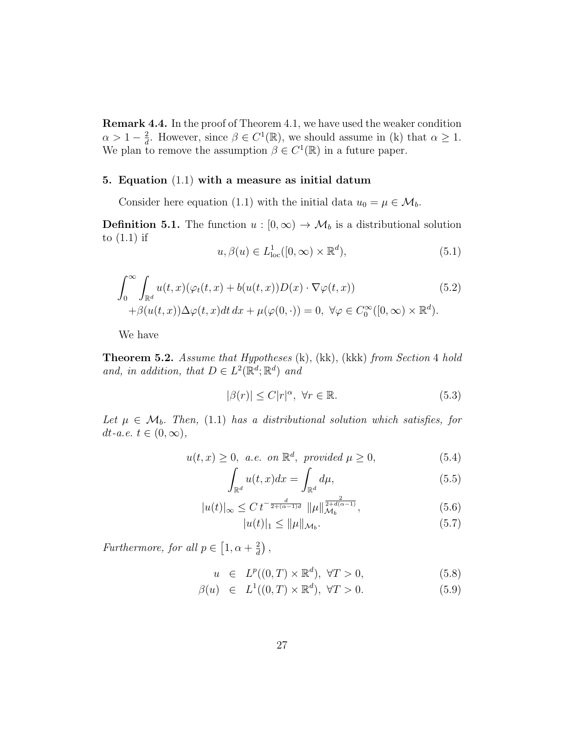Remark 4.4. In the proof of Theorem 4.1, we have used the weaker condition  $\alpha > 1 - \frac{2}{d}$  $\frac{2}{d}$ . However, since  $\beta \in C^1(\mathbb{R})$ , we should assume in (k) that  $\alpha \geq 1$ . We plan to remove the assumption  $\beta \in C^1(\mathbb{R})$  in a future paper.

#### 5. Equation (1.1) with a measure as initial datum

Consider here equation (1.1) with the initial data  $u_0 = \mu \in \mathcal{M}_b$ .

**Definition 5.1.** The function  $u : [0, \infty) \to \mathcal{M}_b$  is a distributional solution to (1.1) if

$$
u, \beta(u) \in L^1_{loc}([0, \infty) \times \mathbb{R}^d), \tag{5.1}
$$

$$
\int_0^\infty \int_{\mathbb{R}^d} u(t, x)(\varphi_t(t, x) + b(u(t, x))D(x) \cdot \nabla \varphi(t, x)) \tag{5.2}
$$
  
 
$$
+ \beta(u(t, x))\Delta \varphi(t, x)dt dx + \mu(\varphi(0, \cdot)) = 0, \ \forall \varphi \in C_0^\infty([0, \infty) \times \mathbb{R}^d).
$$

We have

Theorem 5.2. Assume that Hypotheses (k), (kk), (kkk) from Section 4 hold and, in addition, that  $D \in L^2(\mathbb{R}^d; \mathbb{R}^d)$  and

$$
|\beta(r)| \le C|r|^{\alpha}, \ \forall r \in \mathbb{R}.\tag{5.3}
$$

Let  $\mu \in \mathcal{M}_b$ . Then, (1.1) has a distributional solution which satisfies, for dt-a.e.  $t \in (0, \infty)$ ,

$$
u(t,x) \ge 0, \ a.e. \ on \ \mathbb{R}^d, \ provided \ \mu \ge 0,
$$
\n
$$
(5.4)
$$

$$
\int_{\mathbb{R}^d} u(t, x) dx = \int_{\mathbb{R}^d} d\mu,\tag{5.5}
$$

$$
|u(t)|_{\infty} \leq C \, t^{-\frac{d}{2 + (\alpha - 1)d}} \, \|\mu\|_{\mathcal{M}_b}^{\frac{2}{2 + d(\alpha - 1)}},\tag{5.6}
$$

$$
|u(t)|_1 \le \|\mu\|_{\mathcal{M}_b}.\tag{5.7}
$$

Furthermore, for all  $p \in [1, \alpha + \frac{2}{d}]$  $\frac{2}{d}$ ),

$$
u \in L^p((0,T) \times \mathbb{R}^d), \forall T > 0,
$$
\n
$$
(5.8)
$$

$$
\beta(u) \in L^1((0,T) \times \mathbb{R}^d), \forall T > 0. \tag{5.9}
$$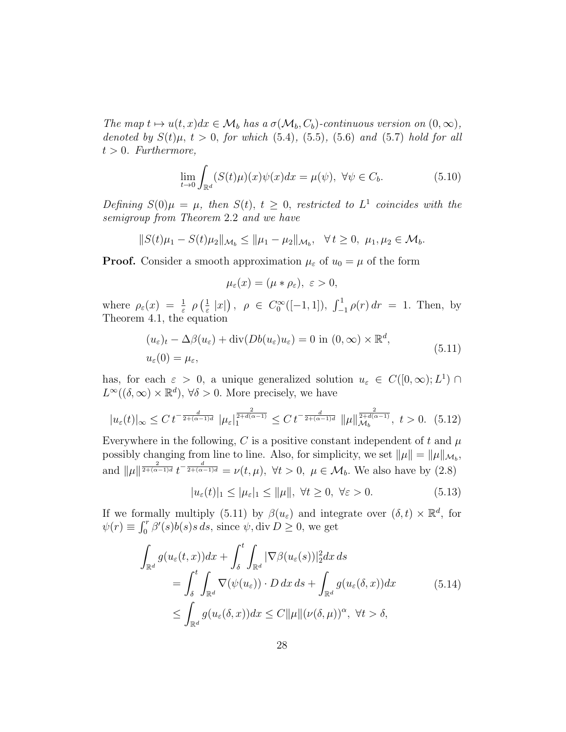The map  $t \mapsto u(t, x)dx \in \mathcal{M}_b$  has a  $\sigma(\mathcal{M}_b, C_b)$ -continuous version on  $(0, \infty)$ , denoted by  $S(t)\mu$ ,  $t > 0$ , for which (5.4), (5.5), (5.6) and (5.7) hold for all  $t > 0$ . Furthermore,

$$
\lim_{t \to 0} \int_{\mathbb{R}^d} (S(t)\mu)(x)\psi(x)dx = \mu(\psi), \ \forall \psi \in C_b.
$$
 (5.10)

Defining  $S(0)\mu = \mu$ , then  $S(t)$ ,  $t \geq 0$ , restricted to  $L^1$  coincides with the semigroup from Theorem 2.2 and we have

$$
||S(t)\mu_1 - S(t)\mu_2||_{\mathcal{M}_b} \le ||\mu_1 - \mu_2||_{\mathcal{M}_b}, \quad \forall t \ge 0, \ \mu_1, \mu_2 \in \mathcal{M}_b.
$$

**Proof.** Consider a smooth approximation  $\mu_{\varepsilon}$  of  $u_0 = \mu$  of the form

$$
\mu_{\varepsilon}(x)=(\mu*\rho_{\varepsilon}),\ \varepsilon>0,
$$

where  $\rho_{\varepsilon}(x) = \frac{1}{\varepsilon} \rho\left(\frac{1}{\varepsilon}\right)$  $\frac{1}{\varepsilon} |x|$ ,  $\rho \in C_0^{\infty}([-1,1]), \int_{-1}^{1} \rho(r) dr = 1$ . Then, by Theorem 4.1, the equation

$$
(u_{\varepsilon})_t - \Delta \beta(u_{\varepsilon}) + \text{div}(Db(u_{\varepsilon})u_{\varepsilon}) = 0 \text{ in } (0, \infty) \times \mathbb{R}^d,
$$
  

$$
u_{\varepsilon}(0) = \mu_{\varepsilon},
$$
 (5.11)

has, for each  $\varepsilon > 0$ , a unique generalized solution  $u_{\varepsilon} \in C([0,\infty); L^1) \cap$  $L^{\infty}((\delta, \infty) \times \mathbb{R}^d)$ ,  $\forall \delta > 0$ . More precisely, we have

$$
|u_{\varepsilon}(t)|_{\infty} \leq C \, t^{-\frac{d}{2 + (\alpha - 1)d}} \, |\mu_{\varepsilon}|_{1}^{\frac{2}{2 + d(\alpha - 1)}} \leq C \, t^{-\frac{d}{2 + (\alpha - 1)d}} \, |\mu||_{\mathcal{M}_{b}}^{\frac{2}{2 + d(\alpha - 1)}}, \ t > 0. \tag{5.12}
$$

Everywhere in the following, C is a positive constant independent of t and  $\mu$ possibly changing from line to line. Also, for simplicity, we set  $\|\mu\| = \|\mu\|_{\mathcal{M}_b}$ , and  $\|\mu\|^{\frac{2}{2+(\alpha-1)d}}t^{-\frac{d}{2+(\alpha-1)d}}=\nu(t,\mu), \forall t>0, \mu \in \mathcal{M}_b$ . We also have by  $(2.8)$ 

$$
|u_{\varepsilon}(t)|_1 \le |\mu_{\varepsilon}|_1 \le \|\mu\|, \ \forall t \ge 0, \ \forall \varepsilon > 0. \tag{5.13}
$$

If we formally multiply (5.11) by  $\beta(u_{\varepsilon})$  and integrate over  $(\delta, t) \times \mathbb{R}^d$ , for  $\psi(r) \equiv \int_0^r \beta'(s)b(s)s ds$ , since  $\psi$ , div  $D \geq 0$ , we get

$$
\int_{\mathbb{R}^d} g(u_{\varepsilon}(t,x))dx + \int_{\delta}^t \int_{\mathbb{R}^d} |\nabla \beta(u_{\varepsilon}(s))|_2^2 dx ds
$$
\n
$$
= \int_{\delta}^t \int_{\mathbb{R}^d} \nabla(\psi(u_{\varepsilon})) \cdot D dx ds + \int_{\mathbb{R}^d} g(u_{\varepsilon}(\delta, x)) dx \qquad (5.14)
$$
\n
$$
\leq \int_{\mathbb{R}^d} g(u_{\varepsilon}(\delta, x)) dx \leq C ||\mu|| (\nu(\delta, \mu))^{\alpha}, \ \forall t > \delta,
$$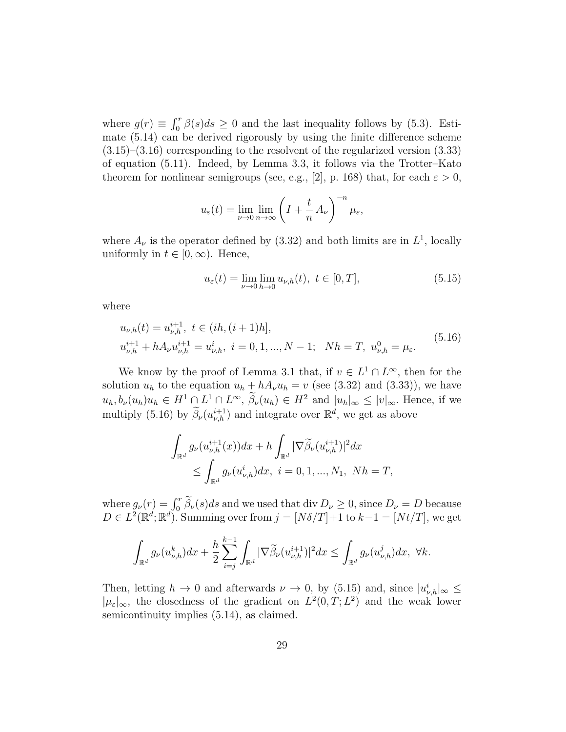where  $g(r) \equiv \int_0^r \beta(s)ds \ge 0$  and the last inequality follows by (5.3). Estimate (5.14) can be derived rigorously by using the finite difference scheme (3.15)–(3.16) corresponding to the resolvent of the regularized version (3.33) of equation (5.11). Indeed, by Lemma 3.3, it follows via the Trotter–Kato theorem for nonlinear semigroups (see, e.g., [2], p. 168) that, for each  $\varepsilon > 0$ ,

$$
u_{\varepsilon}(t) = \lim_{\nu \to 0} \lim_{n \to \infty} \left( I + \frac{t}{n} A_{\nu} \right)^{-n} \mu_{\varepsilon},
$$

where  $A_{\nu}$  is the operator defined by (3.32) and both limits are in  $L^{1}$ , locally uniformly in  $t \in [0, \infty)$ . Hence,

$$
u_{\varepsilon}(t) = \lim_{\nu \to 0} \lim_{h \to 0} u_{\nu,h}(t), \ t \in [0, T], \tag{5.15}
$$

where

$$
u_{\nu,h}(t) = u_{\nu,h}^{i+1}, \ t \in (ih, (i+1)h],
$$
  
\n
$$
u_{\nu,h}^{i+1} + hA_{\nu}u_{\nu,h}^{i+1} = u_{\nu,h}^{i}, \ i = 0, 1, ..., N-1; \ Nh = T, \ u_{\nu,h}^{0} = \mu_{\varepsilon}.
$$
\n(5.16)

We know by the proof of Lemma 3.1 that, if  $v \in L^1 \cap L^{\infty}$ , then for the solution  $u_h$  to the equation  $u_h + hA_vu_h = v$  (see (3.32) and (3.33)), we have  $u_h, b_\nu(u_h)u_h \in H^1 \cap L^1 \cap L^\infty$ ,  $\beta_\nu(u_h) \in H^2$  and  $|u_h|_\infty \leq |v|_\infty$ . Hence, if we multiply (5.16) by  $\widetilde{\beta}_{\nu}(u_{\nu,h}^{i+1})$  and integrate over  $\mathbb{R}^d$ , we get as above

$$
\int_{\mathbb{R}^d} g_{\nu}(u_{\nu,h}^{i+1}(x))dx + h \int_{\mathbb{R}^d} |\nabla \widetilde{\beta}_{\nu}(u_{\nu,h}^{i+1})|^2 dx \leq \int_{\mathbb{R}^d} g_{\nu}(u_{\nu,h}^i)dx, \ i = 0, 1, ..., N_1, \ Nh = T,
$$

where  $g_{\nu}(r) = \int_0^r \tilde{\beta}_{\nu}(s)ds$  and we used that  $\text{div } D_{\nu} \ge 0$ , since  $D_{\nu} = D$  because  $D \in L^2(\mathbb{R}^d; \mathbb{R}^d)$ . Summing over from  $j = [N\delta/T]+1$  to  $k-1 = [Nt/T]$ , we get

$$
\int_{\mathbb{R}^d} g_{\nu}(u_{\nu,h}^k) dx + \frac{h}{2} \sum_{i=j}^{k-1} \int_{\mathbb{R}^d} |\nabla \widetilde{\beta}_{\nu}(u_{\nu,h}^{i+1})|^2 dx \le \int_{\mathbb{R}^d} g_{\nu}(u_{\nu,h}^j) dx, \ \forall k.
$$

Then, letting  $h \to 0$  and afterwards  $\nu \to 0$ , by (5.15) and, since  $|u_{\nu,h}^i|_{\infty} \leq$  $|\mu_{\varepsilon}|_{\infty}$ , the closedness of the gradient on  $L^2(0,T;L^2)$  and the weak lower semicontinuity implies (5.14), as claimed.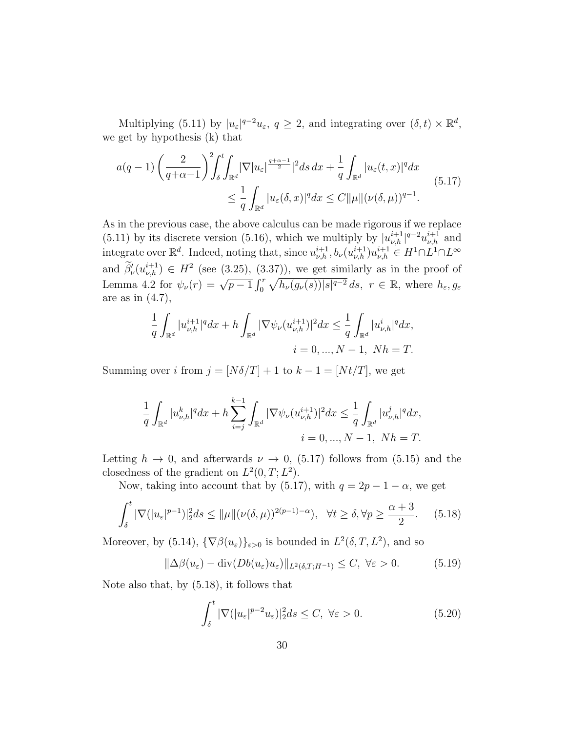Multiplying (5.11) by  $|u_{\varepsilon}|^{q-2}u_{\varepsilon}, q \geq 2$ , and integrating over  $(\delta, t) \times \mathbb{R}^d$ , we get by hypothesis (k) that

$$
a(q-1)\left(\frac{2}{q+\alpha-1}\right)^2 \int_{\delta}^t \int_{\mathbb{R}^d} |\nabla |u_{\varepsilon}|^{\frac{q+\alpha-1}{2}}|^2 ds \, dx + \frac{1}{q} \int_{\mathbb{R}^d} |u_{\varepsilon}(t,x)|^q dx
$$
  

$$
\leq \frac{1}{q} \int_{\mathbb{R}^d} |u_{\varepsilon}(\delta, x)|^q dx \leq C ||\mu|| (\nu(\delta, \mu))^{q-1}.
$$
 (5.17)

As in the previous case, the above calculus can be made rigorous if we replace (5.11) by its discrete version (5.16), which we multiply by  $|u_{\nu,h}^{i+1}|^{q-2}u_{\nu,h}^{i+1}$  and integrate over  $\mathbb{R}^d$ . Indeed, noting that, since  $u_{\nu,h}^{i+1}, b_{\nu}(u_{\nu,h}^{i+1})u_{\nu,h}^{i+1} \in H^1 \cap L^1 \cap L^{\infty}$ and  $\widetilde{\beta}'_{\nu}(u_{\nu,h}^{i+1}) \in H^2$  (see (3.25), (3.37)), we get similarly as in the proof of Lemma 4.2 for  $\psi_{\nu}(r) = \sqrt{p-1} \int_0^r \sqrt{h_{\nu}(g_{\nu}(s))} |s|^{q-2} ds$ ,  $r \in \mathbb{R}$ , where  $h_{\varepsilon}, g_{\varepsilon}$ are as in  $(4.7)$ ,

$$
\frac{1}{q} \int_{\mathbb{R}^d} |u_{\nu,h}^{i+1}|^q dx + h \int_{\mathbb{R}^d} |\nabla \psi_\nu(u_{\nu,h}^{i+1})|^2 dx \le \frac{1}{q} \int_{\mathbb{R}^d} |u_{\nu,h}^i|^q dx,
$$
  
 $i = 0, ..., N - 1, Nh = T.$ 

Summing over i from  $j = [N\delta/T] + 1$  to  $k - 1 = [Nt/T]$ , we get

$$
\frac{1}{q} \int_{\mathbb{R}^d} |u_{\nu,h}^k|^q dx + h \sum_{i=j}^{k-1} \int_{\mathbb{R}^d} |\nabla \psi_{\nu}(u_{\nu,h}^{i+1})|^2 dx \le \frac{1}{q} \int_{\mathbb{R}^d} |u_{\nu,h}^j|^q dx,
$$
  
 $i = 0, ..., N-1, Nh = T.$ 

Letting  $h \to 0$ , and afterwards  $\nu \to 0$ , (5.17) follows from (5.15) and the closedness of the gradient on  $L^2(0,T; L^2)$ .

Now, taking into account that by (5.17), with  $q = 2p - 1 - \alpha$ , we get

$$
\int_{\delta}^{t} |\nabla (|u_{\varepsilon}|^{p-1})|_{2}^{2} ds \leq ||\mu|| (\nu(\delta, \mu))^{2(p-1)-\alpha}), \quad \forall t \geq \delta, \forall p \geq \frac{\alpha+3}{2}.
$$
 (5.18)

Moreover, by (5.14),  $\{\nabla \beta(u_{\varepsilon})\}_{{\varepsilon}>0}$  is bounded in  $L^2(\delta,T,L^2)$ , and so

$$
\|\Delta\beta(u_{\varepsilon}) - \operatorname{div}(Db(u_{\varepsilon})u_{\varepsilon})\|_{L^2(\delta,T;H^{-1})} \le C, \ \forall \varepsilon > 0. \tag{5.19}
$$

Note also that, by (5.18), it follows that

$$
\int_{\delta}^{t} |\nabla (|u_{\varepsilon}|^{p-2} u_{\varepsilon})|_{2}^{2} ds \le C, \ \forall \varepsilon > 0.
$$
 (5.20)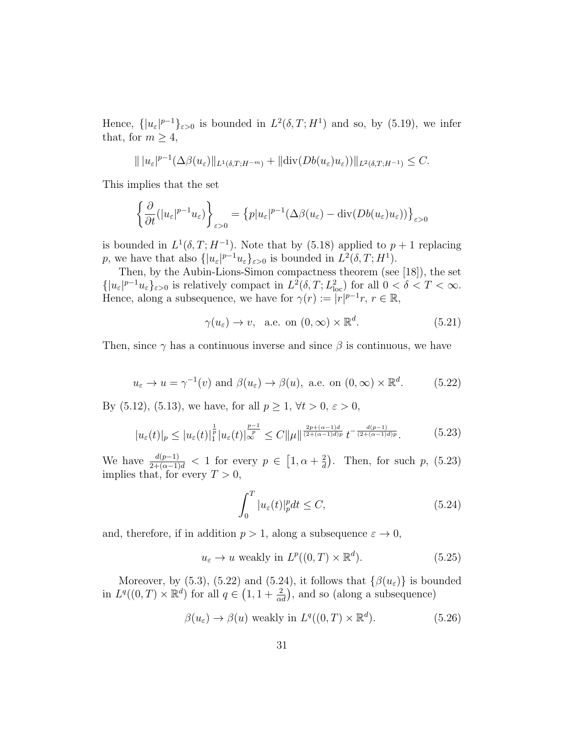Hence,  $\{|u_{\varepsilon}|^{p-1}\}_{{\varepsilon}>0}$  is bounded in  $L^2(\delta,T;H^1)$  and so, by (5.19), we infer that, for  $m \geq 4$ ,

$$
\| |u_{\varepsilon}|^{p-1} (\Delta \beta(u_{\varepsilon}) \|_{L^1(\delta,T;H^{-m})} + \| \operatorname{div} (Db(u_{\varepsilon})u_{\varepsilon})) \|_{L^2(\delta,T;H^{-1})} \leq C.
$$

This implies that the set

$$
\left\{\frac{\partial}{\partial t}(|u_{\varepsilon}|^{p-1}u_{\varepsilon})\right\}_{\varepsilon>0} = \left\{p|u_{\varepsilon}|^{p-1}(\Delta\beta(u_{\varepsilon})-\text{div}(Db(u_{\varepsilon})u_{\varepsilon}))\right\}_{\varepsilon>0}
$$

is bounded in  $L^1(\delta, T; H^{-1})$ . Note that by (5.18) applied to  $p+1$  replacing p, we have that also  $\{|u_{\varepsilon}|^{p-1}u_{\varepsilon}\}_{{\varepsilon}>0}$  is bounded in  $L^2(\delta,T;H^1)$ .

Then, by the Aubin-Lions-Simon compactness theorem (see [18]), the set  $\{|u_{\varepsilon}|^{p-1}u_{\varepsilon}\}_{{\varepsilon}>0}$  is relatively compact in  $L^2(\delta,T;L^2_{\text{loc}})$  for all  $0<\delta.$ Hence, along a subsequence, we have for  $\gamma(r) := |r|^{p-1}r, r \in \mathbb{R}$ ,

$$
\gamma(u_{\varepsilon}) \to v
$$
, a.e. on  $(0, \infty) \times \mathbb{R}^d$ . (5.21)

Then, since  $\gamma$  has a continuous inverse and since  $\beta$  is continuous, we have

$$
u_{\varepsilon} \to u = \gamma^{-1}(v)
$$
 and  $\beta(u_{\varepsilon}) \to \beta(u)$ , a.e. on  $(0, \infty) \times \mathbb{R}^d$ . (5.22)

By (5.12), (5.13), we have, for all  $p \ge 1$ ,  $\forall t > 0$ ,  $\varepsilon > 0$ ,

$$
|u_{\varepsilon}(t)|_p \le |u_{\varepsilon}(t)|_1^{\frac{1}{p}} |u_{\varepsilon}(t)|_{\infty}^{\frac{p-1}{p}} \le C \|\mu\|^{\frac{2p+(\alpha-1)d}{(2+(\alpha-1)d)p}} t^{-\frac{d(p-1)}{(2+(\alpha-1)d)p}}.
$$
 (5.23)

We have  $\frac{d(p-1)}{2+(\alpha-1)d}$  < 1 for every  $p \in [1, \alpha + \frac{2}{d}]$  $\frac{2}{d}$ ). Then, for such p, (5.23) implies that, for every  $T > 0$ ,

$$
\int_0^T |u_{\varepsilon}(t)|_p^p dt \le C,\tag{5.24}
$$

and, therefore, if in addition  $p > 1$ , along a subsequence  $\varepsilon \to 0$ ,

$$
u_{\varepsilon} \to u \text{ weakly in } L^{p}((0, T) \times \mathbb{R}^{d}).
$$
\n(5.25)

Moreover, by (5.3), (5.22) and (5.24), it follows that  $\{\beta(u_{\varepsilon})\}$  is bounded in  $L^q((0,T)\times \mathbb{R}^d)$  for all  $q\in (1,1+\frac{2}{\alpha d})$ , and so (along a subsequence)

$$
\beta(u_{\varepsilon}) \to \beta(u) \text{ weakly in } L^{q}((0, T) \times \mathbb{R}^{d}).
$$
\n(5.26)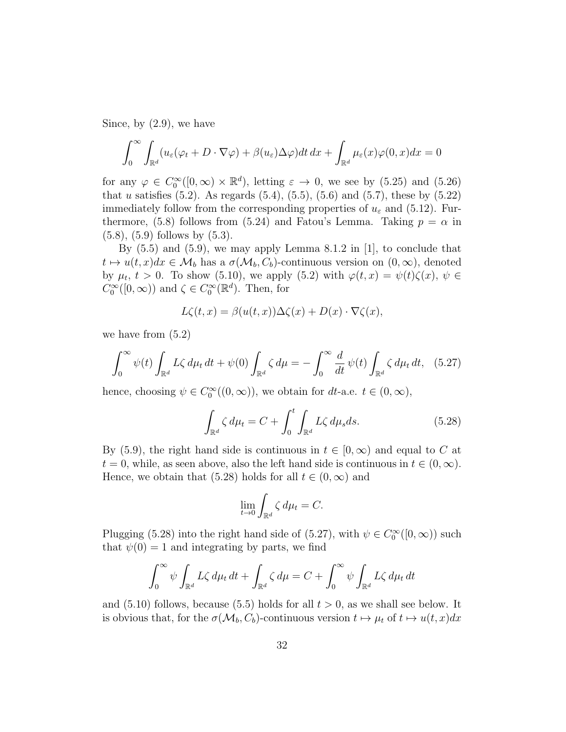Since, by (2.9), we have

$$
\int_0^\infty \int_{\mathbb{R}^d} (u_\varepsilon(\varphi_t + D \cdot \nabla \varphi) + \beta(u_\varepsilon) \Delta \varphi) dt dx + \int_{\mathbb{R}^d} \mu_\varepsilon(x) \varphi(0, x) dx = 0
$$

for any  $\varphi \in C_0^{\infty}([0,\infty) \times \mathbb{R}^d)$ , letting  $\varepsilon \to 0$ , we see by (5.25) and (5.26) that u satisfies  $(5.2)$ . As regards  $(5.4)$ ,  $(5.5)$ ,  $(5.6)$  and  $(5.7)$ , these by  $(5.22)$ immediately follow from the corresponding properties of  $u_{\varepsilon}$  and (5.12). Furthermore, (5.8) follows from (5.24) and Fatou's Lemma. Taking  $p = \alpha$  in (5.8), (5.9) follows by (5.3).

By  $(5.5)$  and  $(5.9)$ , we may apply Lemma 8.1.2 in [1], to conclude that  $t \mapsto u(t, x)dx \in \mathcal{M}_b$  has a  $\sigma(\mathcal{M}_b, C_b)$ -continuous version on  $(0, \infty)$ , denoted by  $\mu_t$ ,  $t > 0$ . To show (5.10), we apply (5.2) with  $\varphi(t,x) = \psi(t)\zeta(x)$ ,  $\psi \in$  $C_0^{\infty}([0,\infty))$  and  $\zeta \in C_0^{\infty}(\mathbb{R}^d)$ . Then, for

$$
L\zeta(t,x) = \beta(u(t,x))\Delta\zeta(x) + D(x) \cdot \nabla\zeta(x),
$$

we have from (5.2)

$$
\int_0^\infty \psi(t) \int_{\mathbb{R}^d} L\zeta \, d\mu_t \, dt + \psi(0) \int_{\mathbb{R}^d} \zeta \, d\mu = -\int_0^\infty \frac{d}{dt} \psi(t) \int_{\mathbb{R}^d} \zeta \, d\mu_t \, dt, \tag{5.27}
$$

hence, choosing  $\psi \in C_0^{\infty}((0,\infty))$ , we obtain for  $dt$ -a.e.  $t \in (0,\infty)$ ,

$$
\int_{\mathbb{R}^d} \zeta \, d\mu_t = C + \int_0^t \int_{\mathbb{R}^d} L\zeta \, d\mu_s ds. \tag{5.28}
$$

By (5.9), the right hand side is continuous in  $t \in [0,\infty)$  and equal to C at  $t = 0$ , while, as seen above, also the left hand side is continuous in  $t \in (0, \infty)$ . Hence, we obtain that (5.28) holds for all  $t \in (0,\infty)$  and

$$
\lim_{t \to 0} \int_{\mathbb{R}^d} \zeta \, d\mu_t = C.
$$

Plugging (5.28) into the right hand side of (5.27), with  $\psi \in C_0^{\infty}([0, \infty))$  such that  $\psi(0) = 1$  and integrating by parts, we find

$$
\int_0^\infty \psi \int_{\mathbb{R}^d} L\zeta \, d\mu_t \, dt + \int_{\mathbb{R}^d} \zeta \, d\mu = C + \int_0^\infty \psi \int_{\mathbb{R}^d} L\zeta \, d\mu_t \, dt
$$

and  $(5.10)$  follows, because  $(5.5)$  holds for all  $t > 0$ , as we shall see below. It is obvious that, for the  $\sigma(\mathcal{M}_b, C_b)$ -continuous version  $t \mapsto \mu_t$  of  $t \mapsto u(t, x)dx$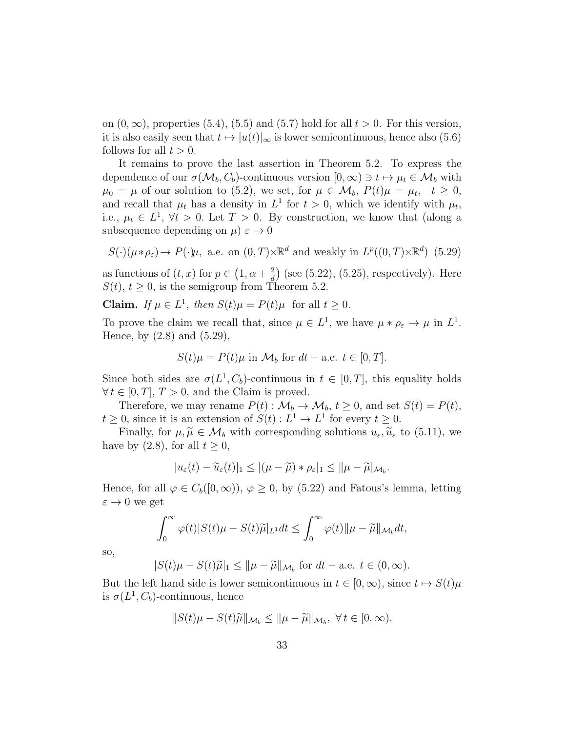on  $(0, \infty)$ , properties  $(5.4)$ ,  $(5.5)$  and  $(5.7)$  hold for all  $t > 0$ . For this version, it is also easily seen that  $t \mapsto |u(t)|_{\infty}$  is lower semicontinuous, hence also (5.6) follows for all  $t > 0$ .

It remains to prove the last assertion in Theorem 5.2. To express the dependence of our  $\sigma(\mathcal{M}_b, C_b)$ -continuous version  $[0, \infty) \ni t \mapsto \mu_t \in \mathcal{M}_b$  with  $\mu_0 = \mu$  of our solution to (5.2), we set, for  $\mu \in \mathcal{M}_b$ ,  $P(t)\mu = \mu_t$ ,  $t \geq 0$ , and recall that  $\mu_t$  has a density in  $L^1$  for  $t > 0$ , which we identify with  $\mu_t$ , i.e.,  $\mu_t \in L^1$ ,  $\forall t > 0$ . Let  $T > 0$ . By construction, we know that (along a subsequence depending on  $\mu$ )  $\varepsilon \to 0$ 

$$
S(\cdot)(\mu * \rho_{\varepsilon}) \to P(\cdot)\mu
$$
, a.e. on  $(0, T) \times \mathbb{R}^d$  and weakly in  $L^p((0, T) \times \mathbb{R}^d)$  (5.29)

as functions of  $(t, x)$  for  $p \in (1, \alpha + \frac{2}{d})$  $\frac{2}{d}$  (see (5.22), (5.25), respectively). Here  $S(t)$ ,  $t \geq 0$ , is the semigroup from Theorem 5.2.

Claim. If  $\mu \in L^1$ , then  $S(t)\mu = P(t)\mu$  for all  $t \geq 0$ .

To prove the claim we recall that, since  $\mu \in L^1$ , we have  $\mu * \rho_{\varepsilon} \to \mu$  in  $L^1$ . Hence, by  $(2.8)$  and  $(5.29)$ ,

$$
S(t)\mu = P(t)\mu \text{ in } \mathcal{M}_b \text{ for } dt - \text{a.e. } t \in [0, T].
$$

Since both sides are  $\sigma(L^1, C_b)$ -continuous in  $t \in [0, T]$ , this equality holds  $\forall t \in [0, T], T > 0$ , and the Claim is proved.

Therefore, we may rename  $P(t): \mathcal{M}_b \to \mathcal{M}_b$ ,  $t \geq 0$ , and set  $S(t) = P(t)$ ,  $t \geq 0$ , since it is an extension of  $S(t) : L^1 \to L^1$  for every  $t \geq 0$ .

Finally, for  $\mu, \tilde{\mu} \in \mathcal{M}_b$  with corresponding solutions  $u_{\varepsilon}, \tilde{u}_{\varepsilon}$  to (5.11), we have by  $(2.8)$ , for all  $t \geq 0$ ,

$$
|u_{\varepsilon}(t)-\widetilde{u}_{\varepsilon}(t)|_1\leq |(\mu-\widetilde{\mu})*\rho_{\varepsilon}|_1\leq ||\mu-\widetilde{\mu}|_{\mathcal{M}_b}.
$$

Hence, for all  $\varphi \in C_b([0,\infty)), \varphi \geq 0$ , by (5.22) and Fatous's lemma, letting  $\varepsilon \to 0$  we get

$$
\int_0^\infty \varphi(t)|S(t)\mu - S(t)\widetilde{\mu}|_{L^1} dt \leq \int_0^\infty \varphi(t) \|\mu - \widetilde{\mu}\|_{\mathcal{M}_b} dt,
$$

so,

$$
|S(t)\mu - S(t)\widetilde{\mu}|_1 \leq \|\mu - \widetilde{\mu}\|_{\mathcal{M}_b} \text{ for } dt - \text{a.e. } t \in (0, \infty).
$$

But the left hand side is lower semicontinuous in  $t \in [0, \infty)$ , since  $t \mapsto S(t)\mu$ is  $\sigma(L^1, C_b)$ -continuous, hence

$$
||S(t)\mu - S(t)\widetilde{\mu}||_{\mathcal{M}_b} \le ||\mu - \widetilde{\mu}||_{\mathcal{M}_b}, \ \forall t \in [0, \infty).
$$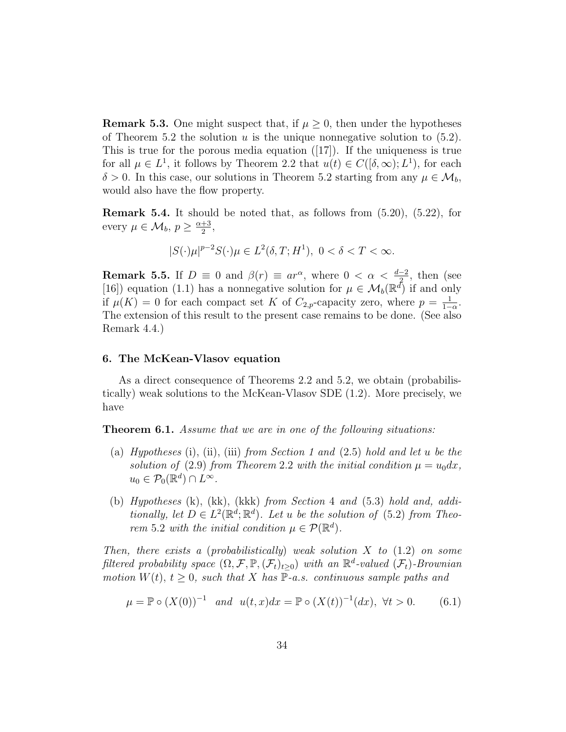**Remark 5.3.** One might suspect that, if  $\mu > 0$ , then under the hypotheses of Theorem 5.2 the solution u is the unique nonnegative solution to  $(5.2)$ . This is true for the porous media equation  $([17])$ . If the uniqueness is true for all  $\mu \in L^1$ , it follows by Theorem 2.2 that  $u(t) \in C([\delta,\infty);L^1)$ , for each  $\delta > 0$ . In this case, our solutions in Theorem 5.2 starting from any  $\mu \in \mathcal{M}_b$ , would also have the flow property.

Remark 5.4. It should be noted that, as follows from (5.20), (5.22), for every  $\mu \in \mathcal{M}_b$ ,  $p \geq \frac{\alpha+3}{2}$  $\frac{+3}{2}$ ,

$$
|S(\cdot)\mu|^{p-2}S(\cdot)\mu \in L^2(\delta,T;H^1), \ 0 < \delta < T < \infty.
$$

**Remark 5.5.** If  $D \equiv 0$  and  $\beta(r) \equiv ar^{\alpha}$ , where  $0 < \alpha < \frac{d-2}{2}$ , then (see [16]) equation (1.1) has a nonnegative solution for  $\mu \in \mathcal{M}_b(\mathbb{R}^d)$  if and only if  $\mu(K) = 0$  for each compact set K of  $C_{2,p}$ -capacity zero, where  $p = \frac{1}{1-p}$  $\frac{1}{1-\alpha}$ . The extension of this result to the present case remains to be done. (See also Remark 4.4.)

# 6. The McKean-Vlasov equation

As a direct consequence of Theorems 2.2 and 5.2, we obtain (probabilistically) weak solutions to the McKean-Vlasov SDE (1.2). More precisely, we have

**Theorem 6.1.** Assume that we are in one of the following situations:

- (a) Hypotheses (i), (ii), (iii) from Section 1 and  $(2.5)$  hold and let u be the solution of (2.9) from Theorem 2.2 with the initial condition  $\mu = u_0 dx$ ,  $u_0 \in \mathcal{P}_0(\mathbb{R}^d) \cap L^{\infty}.$
- (b) Hypotheses (k), (kk), (kkk) from Section 4 and (5.3) hold and, additionally, let  $D \in L^2(\mathbb{R}^d;\mathbb{R}^d)$ . Let u be the solution of (5.2) from Theorem 5.2 with the initial condition  $\mu \in \mathcal{P}(\mathbb{R}^d)$ .

Then, there exists a (probabilistically) weak solution  $X$  to  $(1.2)$  on some filtered probability space  $(\Omega, \mathcal{F}, \mathbb{P}, (\mathcal{F}_t)_{t \geq 0})$  with an  $\mathbb{R}^d$ -valued  $(\mathcal{F}_t)$ -Brownian motion  $W(t)$ ,  $t \geq 0$ , such that X has  $\mathbb{P}\text{-}a.s.$  continuous sample paths and

$$
\mu = \mathbb{P} \circ (X(0))^{-1} \quad and \quad u(t, x)dx = \mathbb{P} \circ (X(t))^{-1}(dx), \ \forall t > 0. \tag{6.1}
$$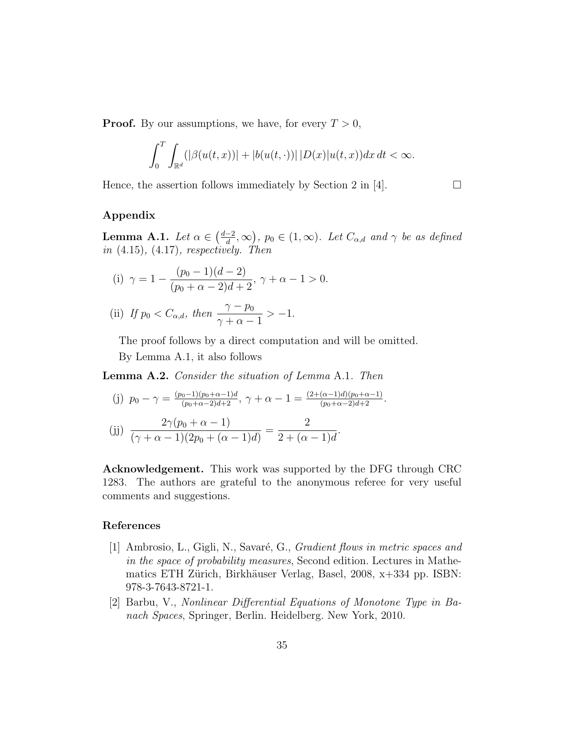**Proof.** By our assumptions, we have, for every  $T > 0$ ,

$$
\int_0^T \int_{\mathbb{R}^d} (|\beta(u(t,x))| + |b(u(t,\cdot))| |D(x)|u(t,x)) dx dt < \infty.
$$

Hence, the assertion follows immediately by Section 2 in [4].  $\Box$ 

# Appendix

Lemma A.1. Let  $\alpha \in \left(\frac{d-2}{d}\right)$  $\left(\frac{-2}{d}, \infty\right)$ ,  $p_0 \in (1, \infty)$ . Let  $C_{\alpha,d}$  and  $\gamma$  be as defined in  $(4.15)$ ,  $(4.17)$ , respectively. Then

(i) 
$$
\gamma = 1 - \frac{(p_0 - 1)(d - 2)}{(p_0 + \alpha - 2)d + 2}, \gamma + \alpha - 1 > 0.
$$

(ii) If 
$$
p_0 < C_{\alpha,d}
$$
, then  $\frac{\gamma - p_0}{\gamma + \alpha - 1} > -1$ .

The proof follows by a direct computation and will be omitted.

By Lemma A.1, it also follows

Lemma A.2. Consider the situation of Lemma A.1. Then

(j) 
$$
p_0 - \gamma = \frac{(p_0 - 1)(p_0 + \alpha - 1)d}{(p_0 + \alpha - 2)d + 2}
$$
,  $\gamma + \alpha - 1 = \frac{(2 + (\alpha - 1)d)(p_0 + \alpha - 1)}{(p_0 + \alpha - 2)d + 2}$ .

$$
(jj) \frac{2\gamma(p_0 + \alpha - 1)}{(\gamma + \alpha - 1)(2p_0 + (\alpha - 1)d)} = \frac{2}{2 + (\alpha - 1)d}.
$$

Acknowledgement. This work was supported by the DFG through CRC 1283. The authors are grateful to the anonymous referee for very useful comments and suggestions.

# References

- [1] Ambrosio, L., Gigli, N., Savaré, G., *Gradient flows in metric spaces and* in the space of probability measures, Second edition. Lectures in Mathematics ETH Zürich, Birkhäuser Verlag, Basel, 2008, x+334 pp. ISBN: 978-3-7643-8721-1.
- [2] Barbu, V., Nonlinear Differential Equations of Monotone Type in Banach Spaces, Springer, Berlin. Heidelberg. New York, 2010.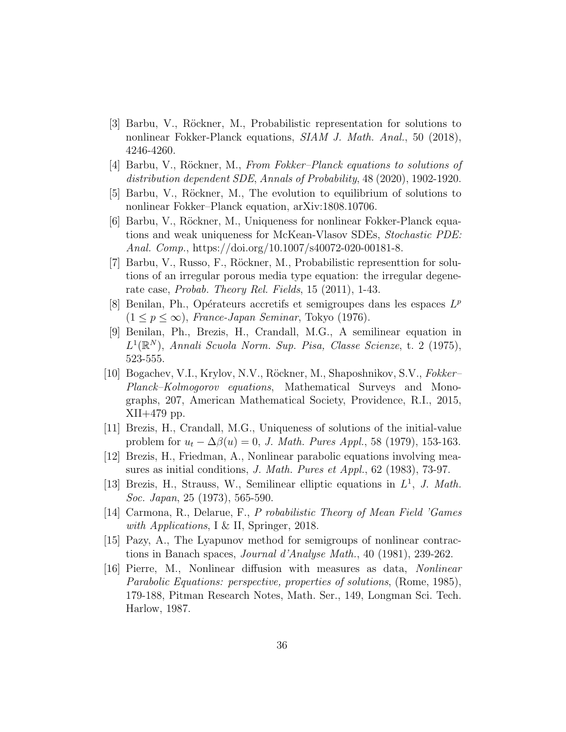- [3] Barbu, V., Röckner, M., Probabilistic representation for solutions to nonlinear Fokker-Planck equations, SIAM J. Math. Anal., 50 (2018), 4246-4260.
- [4] Barbu, V., Röckner, M., From Fokker–Planck equations to solutions of distribution dependent SDE, Annals of Probability, 48 (2020), 1902-1920.
- [5] Barbu, V., Röckner, M., The evolution to equilibrium of solutions to nonlinear Fokker–Planck equation, arXiv:1808.10706.
- [6] Barbu, V., Röckner, M., Uniqueness for nonlinear Fokker-Planck equations and weak uniqueness for McKean-Vlasov SDEs, Stochastic PDE: Anal. Comp., https://doi.org/10.1007/s40072-020-00181-8.
- [7] Barbu, V., Russo, F., Röckner, M., Probabilistic representtion for solutions of an irregular porous media type equation: the irregular degenerate case, Probab. Theory Rel. Fields, 15 (2011), 1-43.
- [8] Benilan, Ph., Opérateurs accretifs et semigroupes dans les espaces  $L^p$  $(1 \leq p \leq \infty)$ , France-Japan Seminar, Tokyo (1976).
- [9] Benilan, Ph., Brezis, H., Crandall, M.G., A semilinear equation in  $L^1(\mathbb{R}^N)$ , Annali Scuola Norm. Sup. Pisa, Classe Scienze, t. 2 (1975), 523-555.
- [10] Bogachev, V.I., Krylov, N.V., Röckner, M., Shaposhnikov, S.V., Fokker– Planck–Kolmogorov equations, Mathematical Surveys and Monographs, 207, American Mathematical Society, Providence, R.I., 2015, XII+479 pp.
- [11] Brezis, H., Crandall, M.G., Uniqueness of solutions of the initial-value problem for  $u_t - \Delta \beta(u) = 0$ , *J. Math. Pures Appl.*, 58 (1979), 153-163.
- [12] Brezis, H., Friedman, A., Nonlinear parabolic equations involving measures as initial conditions, J. Math. Pures et Appl., 62 (1983), 73-97.
- [13] Brezis, H., Strauss, W., Semilinear elliptic equations in  $L^1$ , J. Math. Soc. Japan, 25 (1973), 565-590.
- [14] Carmona, R., Delarue, F., P robabilistic Theory of Mean Field 'Games with Applications, I & II, Springer, 2018.
- [15] Pazy, A., The Lyapunov method for semigroups of nonlinear contractions in Banach spaces, Journal d'Analyse Math., 40 (1981), 239-262.
- [16] Pierre, M., Nonlinear diffusion with measures as data, Nonlinear Parabolic Equations: perspective, properties of solutions, (Rome, 1985), 179-188, Pitman Research Notes, Math. Ser., 149, Longman Sci. Tech. Harlow, 1987.